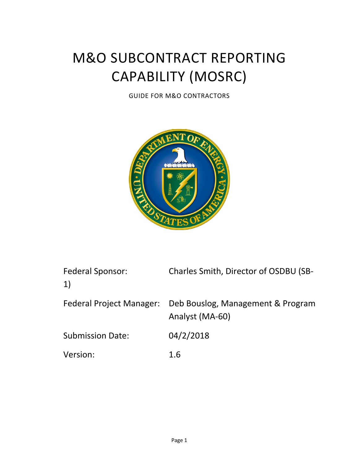# M&O SUBCONTRACT REPORTING CAPABILITY (MOSRC)

GUIDE FOR M&O CONTRACTORS



| <b>Federal Sponsor:</b><br>$\left( \begin{matrix} 1 \end{matrix} \right)$ | Charles Smith, Director of OSDBU (SB-                |
|---------------------------------------------------------------------------|------------------------------------------------------|
| <b>Federal Project Manager:</b>                                           | Deb Bouslog, Management & Program<br>Analyst (MA-60) |
| <b>Submission Date:</b>                                                   | 04/2/2018                                            |
| Version:                                                                  | 1.6                                                  |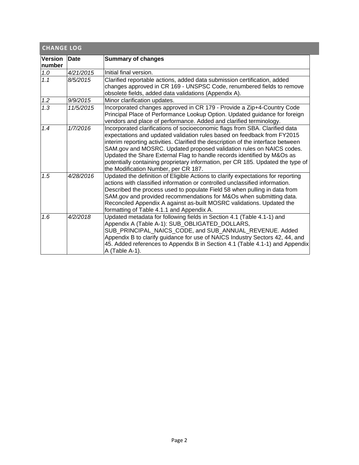<span id="page-1-0"></span>

| <b>CHANGE LOG</b>        |             |                                                                                                                                                                                                                                                                                                                                                                                                                                                                                                                          |  |  |  |  |  |  |
|--------------------------|-------------|--------------------------------------------------------------------------------------------------------------------------------------------------------------------------------------------------------------------------------------------------------------------------------------------------------------------------------------------------------------------------------------------------------------------------------------------------------------------------------------------------------------------------|--|--|--|--|--|--|
| <b>Version</b><br>number | <b>Date</b> | <b>Summary of changes</b>                                                                                                                                                                                                                                                                                                                                                                                                                                                                                                |  |  |  |  |  |  |
| 1.0                      | 4/21/2015   | Initial final version.                                                                                                                                                                                                                                                                                                                                                                                                                                                                                                   |  |  |  |  |  |  |
| 1.1                      | 8/5/2015    | Clarified reportable actions, added data submission certification, added<br>changes approved in CR 169 - UNSPSC Code, renumbered fields to remove<br>obsolete fields, added data validations (Appendix A).                                                                                                                                                                                                                                                                                                               |  |  |  |  |  |  |
| 1.2                      | 9/9/2015    | Minor clarification updates.                                                                                                                                                                                                                                                                                                                                                                                                                                                                                             |  |  |  |  |  |  |
| 1.3                      | 11/5/2015   | Incorporated changes approved in CR 179 - Provide a Zip+4-Country Code<br>Principal Place of Performance Lookup Option. Updated guidance for foreign<br>vendors and place of performance. Added and clarified terminology.                                                                                                                                                                                                                                                                                               |  |  |  |  |  |  |
| 1.4                      | 1/7/2016    | Incorporated clarifications of socioeconomic flags from SBA. Clarified data<br>expectations and updated validation rules based on feedback from FY2015<br>interim reporting activities. Clarified the description of the interface between<br>SAM.gov and MOSRC. Updated proposed validation rules on NAICS codes.<br>Updated the Share External Flag to handle records identified by M&Os as<br>potentially containing proprietary information, per CR 185. Updated the type of<br>the Modification Number, per CR 187. |  |  |  |  |  |  |
| 1.5                      | 4/28/2016   | Updated the definition of Eligible Actions to clarify expectations for reporting<br>actions with classified information or controlled unclassified information.<br>Described the process used to populate Field 58 when pulling in data from<br>SAM.gov and provided recommendations for M&Os when submitting data.<br>Reconciled Appendix A against as-built MOSRC validations. Updated the<br>formatting of Table 4.1.1 and Appendix A.                                                                                |  |  |  |  |  |  |
| 1.6                      | 4/2/2018    | Updated metadata for following fields in Section 4.1 (Table 4.1-1) and<br>Appendix A (Table A-1): SUB_OBLIGATED_DOLLARS,<br>SUB_PRINCIPAL_NAICS_CODE, and SUB_ANNUAL_REVENUE. Added<br>Appendix B to clarify guidance for use of NAICS Industry Sectors 42, 44, and<br>45. Added references to Appendix B in Section 4.1 (Table 4.1-1) and Appendix<br>A (Table A-1).                                                                                                                                                    |  |  |  |  |  |  |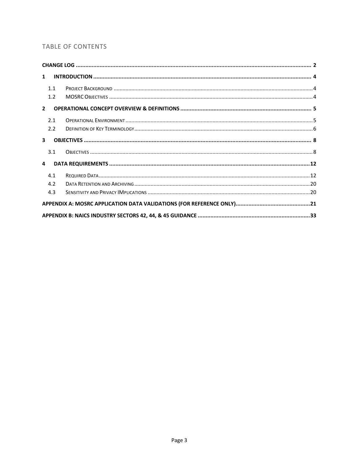# TABLE OF CONTENTS

| $\mathbf{1}$   |     |  |
|----------------|-----|--|
|                | 1.1 |  |
|                | 1.2 |  |
| $2^{\circ}$    |     |  |
|                | 2.1 |  |
|                | 2.2 |  |
| 3 <sup>1</sup> |     |  |
|                | 3.1 |  |
| 4              |     |  |
|                | 4.1 |  |
|                | 4.2 |  |
|                | 4.3 |  |
|                |     |  |
|                |     |  |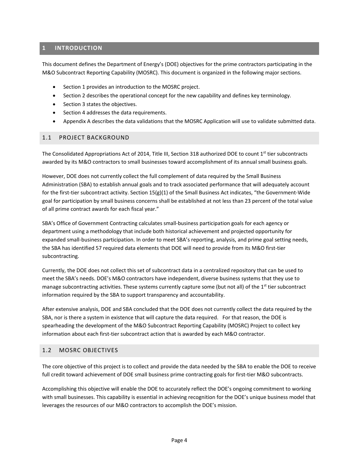# <span id="page-3-0"></span>**1 INTRODUCTION**

This document defines the Department of Energy's (DOE) objectives for the prime contractors participating in the M&O Subcontract Reporting Capability (MOSRC). This document is organized in the following major sections.

- Section 1 provides an introduction to the MOSRC project.
- Section 2 describes the operational concept for the new capability and defines key terminology.
- Section 3 states the objectives.
- Section 4 addresses the data requirements.
- Appendix A describes the data validations that the MOSRC Application will use to validate submitted data.

## <span id="page-3-1"></span>1.1 PROJECT BACKGROUND

The Consolidated Appropriations Act of 2014, Title III, Section 318 authorized DOE to count 1<sup>st</sup> tier subcontracts awarded by its M&O contractors to small businesses toward accomplishment of its annual small business goals.

However, DOE does not currently collect the full complement of data required by the Small Business Administration (SBA) to establish annual goals and to track associated performance that will adequately account for the first-tier subcontract activity. Section 15(g)(1) of the Small Business Act indicates, "the Government-Wide goal for participation by small business concerns shall be established at not less than 23 percent of the total value of all prime contract awards for each fiscal year."

SBA's Office of Government Contracting calculates small-business participation goals for each agency or department using a methodology that include both historical achievement and projected opportunity for expanded small-business participation. In order to meet SBA's reporting, analysis, and prime goal setting needs, the SBA has identified 57 required data elements that DOE will need to provide from its M&O first-tier subcontracting.

Currently, the DOE does not collect this set of subcontract data in a centralized repository that can be used to meet the SBA's needs. DOE's M&O contractors have independent, diverse business systems that they use to manage subcontracting activities. These systems currently capture some (but not all) of the 1<sup>st</sup> tier subcontract information required by the SBA to support transparency and accountability.

After extensive analysis, DOE and SBA concluded that the DOE does not currently collect the data required by the SBA, nor is there a system in existence that will capture the data required. For that reason, the DOE is spearheading the development of the M&O Subcontract Reporting Capability (MOSRC) Project to collect key information about each first-tier subcontract action that is awarded by each M&O contractor.

## <span id="page-3-2"></span>1.2 MOSRC OBJECTIVES

The core objective of this project is to collect and provide the data needed by the SBA to enable the DOE to receive full credit toward achievement of DOE small business prime contracting goals for first-tier M&O subcontracts.

Accomplishing this objective will enable the DOE to accurately reflect the DOE's ongoing commitment to working with small businesses. This capability is essential in achieving recognition for the DOE's unique business model that leverages the resources of our M&O contractors to accomplish the DOE's mission.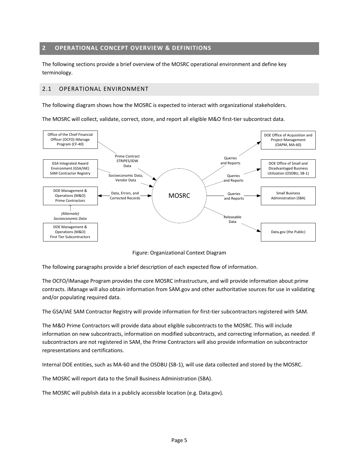## <span id="page-4-0"></span>**2 OPERATIONAL CONCEPT OVERVIEW & DEFINITIONS**

The following sections provide a brief overview of the MOSRC operational environment and define key terminology.

## <span id="page-4-1"></span>2.1 OPERATIONAL ENVIRONMENT

The following diagram shows how the MOSRC is expected to interact with organizational stakeholders.

The MOSRC will collect, validate, correct, store, and report all eligible M&O first-tier subcontract data.



Figure: Organizational Context Diagram

The following paragraphs provide a brief description of each expected flow of information.

The OCFO/iManage Program provides the core MOSRC infrastructure, and will provide information about prime contracts. iManage will also obtain information from SAM.gov and other authoritative sources for use in validating and/or populating required data.

The GSA/IAE SAM Contractor Registry will provide information for first-tier subcontractors registered with SAM.

The M&O Prime Contractors will provide data about eligible subcontracts to the MOSRC. This will include information on new subcontracts, information on modified subcontracts, and correcting information, as needed. If subcontractors are not registered in SAM, the Prime Contractors will also provide information on subcontractor representations and certifications.

Internal DOE entities, such as MA-60 and the OSDBU (SB-1), will use data collected and stored by the MOSRC.

The MOSRC will report data to the Small Business Administration (SBA).

The MOSRC will publish data in a publicly accessible location (e.g. Data.gov).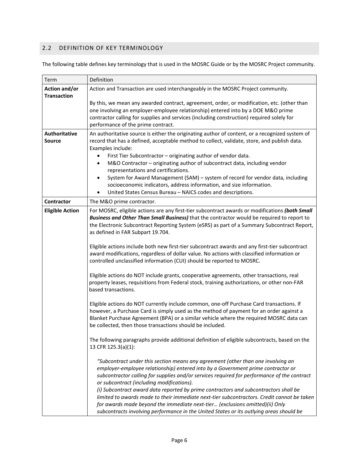# <span id="page-5-0"></span>2.2 DEFINITION OF KEY TERMINOLOGY

The following table defines key terminology that is used in the MOSRC Guide or by the MOSRC Project community.

| Term                                       | Definition                                                                                                                                                                                                                                                                                                                                                                                                                                                                                                                                                                                                                                                                                                                                                                                                                                                                                                                                                                                                          |
|--------------------------------------------|---------------------------------------------------------------------------------------------------------------------------------------------------------------------------------------------------------------------------------------------------------------------------------------------------------------------------------------------------------------------------------------------------------------------------------------------------------------------------------------------------------------------------------------------------------------------------------------------------------------------------------------------------------------------------------------------------------------------------------------------------------------------------------------------------------------------------------------------------------------------------------------------------------------------------------------------------------------------------------------------------------------------|
| <b>Action and/or</b><br><b>Transaction</b> | Action and Transaction are used interchangeably in the MOSRC Project community.                                                                                                                                                                                                                                                                                                                                                                                                                                                                                                                                                                                                                                                                                                                                                                                                                                                                                                                                     |
|                                            | By this, we mean any awarded contract, agreement, order, or modification, etc. (other than<br>one involving an employer-employee relationship) entered into by a DOE M&O prime<br>contractor calling for supplies and services (including construction) required solely for<br>performance of the prime contract.                                                                                                                                                                                                                                                                                                                                                                                                                                                                                                                                                                                                                                                                                                   |
| <b>Authoritative</b><br><b>Source</b>      | An authoritative source is either the originating author of content, or a recognized system of<br>record that has a defined, acceptable method to collect, validate, store, and publish data.<br>Examples include:<br>First Tier Subcontractor - originating author of vendor data.<br>M&O Contractor - originating author of subcontract data, including vendor<br>representations and certifications.<br>System for Award Management (SAM) - system of record for vendor data, including<br>$\bullet$<br>socioeconomic indicators, address information, and size information.<br>United States Census Bureau - NAICS codes and descriptions.<br>$\bullet$                                                                                                                                                                                                                                                                                                                                                         |
| <b>Contractor</b>                          | The M&O prime contractor.                                                                                                                                                                                                                                                                                                                                                                                                                                                                                                                                                                                                                                                                                                                                                                                                                                                                                                                                                                                           |
| <b>Eligible Action</b>                     | For MOSRC, eligible actions are any first-tier subcontract awards or modifications (both Small<br>Business and Other Than Small Business) that the contractor would be required to report to<br>the Electronic Subcontract Reporting System (eSRS) as part of a Summary Subcontract Report,<br>as defined in FAR Subpart 19.704.<br>Eligible actions include both new first-tier subcontract awards and any first-tier subcontract<br>award modifications, regardless of dollar value. No actions with classified information or<br>controlled unclassified information (CUI) should be reported to MOSRC.<br>Eligible actions do NOT include grants, cooperative agreements, other transactions, real<br>property leases, requisitions from Federal stock, training authorizations, or other non-FAR<br>based transactions.<br>Eligible actions do NOT currently include common, one-off Purchase Card transactions. If<br>however, a Purchase Card is simply used as the method of payment for an order against a |
|                                            | Blanket Purchase Agreement (BPA) or a similar vehicle where the required MOSRC data can<br>be collected, then those transactions should be included.<br>The following paragraphs provide additional definition of eligible subcontracts, based on the<br>13 CFR 125.3(a)(1):<br>"Subcontract under this section means any agreement (other than one involving an<br>employer-employee relationship) entered into by a Government prime contractor or<br>subcontractor calling for supplies and/or services required for performance of the contract<br>or subcontract (including modifications).<br>(i) Subcontract award data reported by prime contractors and subcontractors shall be<br>limited to awards made to their immediate next-tier subcontractors. Credit cannot be taken<br>for awards made beyond the immediate next-tier (exclusions omitted)(ii) Only<br>subcontracts involving performance in the United States or its outlying areas should be                                                   |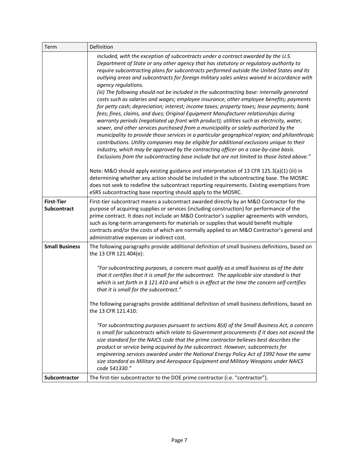| Term                                    | Definition                                                                                                                                                                                                                                                                                                                                                                                                                                                                                                                                                                                                                                                                                                                                                                                                                                                                                                                                                                                                                                                                                                                                                                                                                                                                                                                                             |
|-----------------------------------------|--------------------------------------------------------------------------------------------------------------------------------------------------------------------------------------------------------------------------------------------------------------------------------------------------------------------------------------------------------------------------------------------------------------------------------------------------------------------------------------------------------------------------------------------------------------------------------------------------------------------------------------------------------------------------------------------------------------------------------------------------------------------------------------------------------------------------------------------------------------------------------------------------------------------------------------------------------------------------------------------------------------------------------------------------------------------------------------------------------------------------------------------------------------------------------------------------------------------------------------------------------------------------------------------------------------------------------------------------------|
|                                         | included, with the exception of subcontracts under a contract awarded by the U.S.<br>Department of State or any other agency that has statutory or regulatory authority to<br>require subcontracting plans for subcontracts performed outside the United States and its<br>outlying areas and subcontracts for foreign military sales unless waived in accordance with<br>agency regulations.<br>(iii) The following should not be included in the subcontracting base: internally generated<br>costs such as salaries and wages; employee insurance; other employee benefits; payments<br>for petty cash; depreciation; interest; income taxes; property taxes; lease payments; bank<br>fees; fines, claims, and dues; Original Equipment Manufacturer relationships during<br>warranty periods (negotiated up front with product); utilities such as electricity, water,<br>sewer, and other services purchased from a municipality or solely authorized by the<br>municipality to provide those services in a particular geographical region; and philanthropic<br>contributions. Utility companies may be eligible for additional exclusions unique to their<br>industry, which may be approved by the contracting officer on a case-by-case basis.<br>Exclusions from the subcontracting base include but are not limited to those listed above." |
|                                         | Note: M&O should apply existing guidance and interpretation of 13 CFR 125.3(a)(1) (iii) in<br>determining whether any action should be included in the subcontracting base. The MOSRC<br>does not seek to redefine the subcontract reporting requirements. Existing exemptions from<br>eSRS subcontracting base reporting should apply to the MOSRC.                                                                                                                                                                                                                                                                                                                                                                                                                                                                                                                                                                                                                                                                                                                                                                                                                                                                                                                                                                                                   |
| <b>First-Tier</b><br><b>Subcontract</b> | First-tier subcontract means a subcontract awarded directly by an M&O Contractor for the<br>purpose of acquiring supplies or services (including construction) for performance of the<br>prime contract. It does not include an M&O Contractor's supplier agreements with vendors,<br>such as long-term arrangements for materials or supplies that would benefit multiple<br>contracts and/or the costs of which are normally applied to an M&O Contractor's general and<br>administrative expenses or indirect cost.                                                                                                                                                                                                                                                                                                                                                                                                                                                                                                                                                                                                                                                                                                                                                                                                                                 |
| <b>Small Business</b>                   | The following paragraphs provide additional definition of small business definitions, based on<br>the 13 CFR 121.404(e):<br>"For subcontracting purposes, a concern must qualify as a small business as of the date<br>that it certifies that it is small for the subcontract. The applicable size standard is that<br>which is set forth in $\S$ 121.410 and which is in effect at the time the concern self-certifies<br>that it is small for the subcontract."<br>The following paragraphs provide additional definition of small business definitions, based on<br>the 13 CFR 121.410:<br>"For subcontracting purposes pursuant to sections 8(d) of the Small Business Act, a concern<br>is small for subcontracts which relate to Government procurements if it does not exceed the<br>size standard for the NAICS code that the prime contractor believes best describes the<br>product or service being acquired by the subcontract. However, subcontracts for<br>engineering services awarded under the National Energy Policy Act of 1992 have the same<br>size standard as Military and Aerospace Equipment and Military Weapons under NAICS<br>code 541330."                                                                                                                                                                                |
| Subcontractor                           | The first-tier subcontractor to the DOE prime contractor (i.e. "contractor").                                                                                                                                                                                                                                                                                                                                                                                                                                                                                                                                                                                                                                                                                                                                                                                                                                                                                                                                                                                                                                                                                                                                                                                                                                                                          |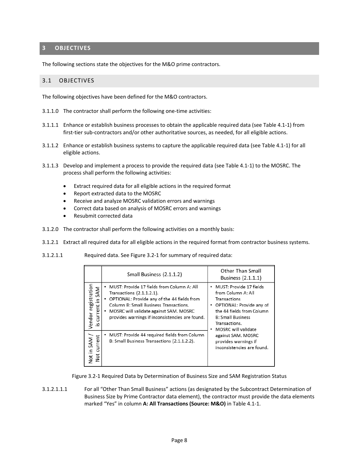# <span id="page-7-0"></span>**3 OBJECTIVES**

The following sections state the objectives for the M&O prime contractors.

## <span id="page-7-1"></span>3.1 OBJECTIVES

The following objectives have been defined for the M&O contractors.

- 3.1.1.0 The contractor shall perform the following one-time activities:
- 3.1.1.1 Enhance or establish business processes to obtain the applicable required data (see Table 4.1-1) from first-tier sub-contractors and/or other authoritative sources, as needed, for all eligible actions.
- 3.1.1.2 Enhance or establish business systems to capture the applicable required data (see Table 4.1-1) for all eligible actions.
- 3.1.1.3 Develop and implement a process to provide the required data (see Table 4.1-1) to the MOSRC. The process shall perform the following activities:
	- Extract required data for all eligible actions in the required format
	- Report extracted data to the MOSRC
	- Receive and analyze MOSRC validation errors and warnings
	- Correct data based on analysis of MOSRC errors and warnings
	- Resubmit corrected data
- 3.1.2.0 The contractor shall perform the following activities on a monthly basis:
- 3.1.2.1 Extract all required data for all eligible actions in the required format from contractor business systems.
- 3.1.2.1.1 Required data. See Figure 3.2-1 for summary of required data:

|                                            | Small Business (2.1.1.2)                                                                                                                                                                                                                                      | Other Than Small<br>Business (2.1.1.1)                                                                                                                                                               |
|--------------------------------------------|---------------------------------------------------------------------------------------------------------------------------------------------------------------------------------------------------------------------------------------------------------------|------------------------------------------------------------------------------------------------------------------------------------------------------------------------------------------------------|
| registration<br>in SAM<br>current<br>endor | MUST: Provide 17 fields from Column A: All<br>Transactions (2.1.1.2.1).<br>OPTIONAL: Provide any of the 44 fields from<br>Column B: Small Business Transactions.<br>MOSRC will validate against SAM. MOSRC<br>provides warnings if inconsistencies are found. | MUST: Provide 17 fields<br>٠<br>from Column A: All<br>Transactions<br>OPTIONAL: Provide any of<br>٠<br>the 44 fields from Column<br><b>B: Small Business</b><br>Transactions.<br>MOSRC will validate |
| ξ<br>in SAM<br>curi<br>Not i<br>ğ          | MUST: Provide 44 required fields from Column<br>B: Small Business Transactions (2.1.1.2.2).                                                                                                                                                                   | against SAM. MOSRC<br>provides warnings if<br>inconsistencies are found.                                                                                                                             |

Figure 3.2-1 Required Data by Determination of Business Size and SAM Registration Status

3.1.2.1.1.1 For all "Other Than Small Business" actions (as designated by the Subcontract Determination of Business Size by Prime Contractor data element), the contractor must provide the data elements marked "Yes" in column **A: All Transactions (Source: M&O)** in Table 4.1-1.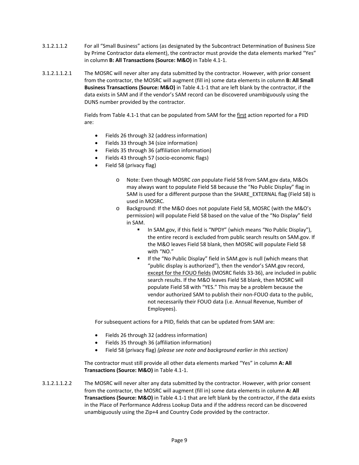- 3.1.2.1.1.2 For all "Small Business" actions (as designated by the Subcontract Determination of Business Size by Prime Contractor data element), the contractor must provide the data elements marked "Yes" in column **B: All Transactions (Source: M&O)** in Table 4.1-1.
- 3.1.2.1.1.2.1 The MOSRC will never alter any data submitted by the contractor. However, with prior consent from the contractor, the MOSRC will augment (fill in) some data elements in column **B: All Small Business Transactions (Source: M&O)** in Table 4.1-1 that are left blank by the contractor, if the data exists in SAM and if the vendor's SAM record can be discovered unambiguously using the DUNS number provided by the contractor.

Fields from Table 4.1-1 that can be populated from SAM for the first action reported for a PIID are:

- Fields 26 through 32 (address information)
- Fields 33 through 34 (size information)
- Fields 35 through 36 (affiliation information)
- Fields 43 through 57 (socio-economic flags)
- Field 58 (privacy flag)
	- o Note: Even though MOSRC *can* populate Field 58 from SAM.gov data, M&Os may always want to populate Field 58 because the "No Public Display" flag in SAM is used for a different purpose than the SHARE\_EXTERNAL flag (Field 58) is used in MOSRC.
	- o Background: If the M&O does not populate Field 58, MOSRC (with the M&O's permission) will populate Field 58 based on the value of the "No Display" field in SAM.
		- In SAM.gov, if this field is "NPDY" (which means "No Public Display"), the entire record is excluded from public search results on SAM.gov. If the M&O leaves Field 58 blank, then MOSRC will populate Field 58 with "NO."
		- **If the "No Public Display" field in SAM.gov is null (which means that** "public display is authorized"), then the vendor's SAM.gov record, except for the FOUO fields (MOSRC fields 33-36), are included in public search results. If the M&O leaves Field 58 blank, then MOSRC will populate Field 58 with "YES." This may be a problem because the vendor authorized SAM to publish their non-FOUO data to the public, not necessarily their FOUO data (i.e. Annual Revenue, Number of Employees).

For subsequent actions for a PIID, fields that can be updated from SAM are:

- Fields 26 through 32 (address information)
- Fields 35 through 36 (affiliation information)
- Field 58 (privacy flag) *(please see note and background earlier in this section)*

The contractor must still provide all other data elements marked "Yes" in column **A: All Transactions (Source: M&O)** in Table 4.1-1.

3.1.2.1.1.2.2 The MOSRC will never alter any data submitted by the contractor. However, with prior consent from the contractor, the MOSRC will augment (fill in) some data elements in column **A: All Transactions (Source: M&O)** in Table 4.1-1 that are left blank by the contractor, if the data exists in the Place of Performance Address Lookup Data and if the address record can be discovered unambiguously using the Zip+4 and Country Code provided by the contractor.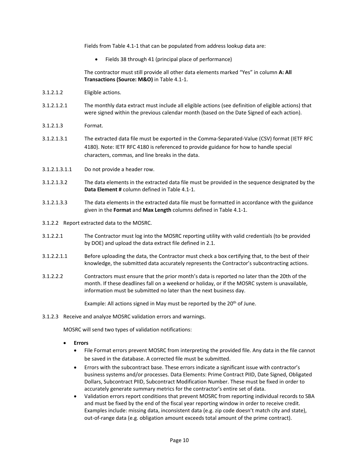Fields from Table 4.1-1 that can be populated from address lookup data are:

• Fields 38 through 41 (principal place of performance)

The contractor must still provide all other data elements marked "Yes" in column **A: All Transactions (Source: M&O)** in Table 4.1-1.

- 3.1.2.1.2 Eligible actions.
- 3.1.2.1.2.1 The monthly data extract must include all eligible actions (see definition of eligible actions) that were signed within the previous calendar month (based on the Date Signed of each action).
- 3.1.2.1.3 Format.
- 3.1.2.1.3.1 The extracted data file must be exported in the Comma-Separated-Value (CSV) format (IETF RFC 4180). Note: IETF RFC 4180 is referenced to provide guidance for how to handle special characters, commas, and line breaks in the data.
- 3.1.2.1.3.1.1 Do not provide a header row.
- 3.1.2.1.3.2 The data elements in the extracted data file must be provided in the sequence designated by the **Data Element #** column defined in Table 4.1-1.
- 3.1.2.1.3.3 The data elements in the extracted data file must be formatted in accordance with the guidance given in the **Format** and **Max Length** columns defined in Table 4.1-1.
- 3.1.2.2 Report extracted data to the MOSRC.
- 3.1.2.2.1 The Contractor must log into the MOSRC reporting utility with valid credentials (to be provided by DOE) and upload the data extract file defined in 2.1.
- 3.1.2.2.1.1 Before uploading the data, the Contractor must check a box certifying that, to the best of their knowledge, the submitted data accurately represents the Contractor's subcontracting actions.
- 3.1.2.2.2 Contractors must ensure that the prior month's data is reported no later than the 20th of the month. If these deadlines fall on a weekend or holiday, or if the MOSRC system is unavailable, information must be submitted no later than the next business day.

Example: All actions signed in May must be reported by the  $20<sup>th</sup>$  of June.

3.1.2.3 Receive and analyze MOSRC validation errors and warnings.

MOSRC will send two types of validation notifications:

- **Errors**
	- File Format errors prevent MOSRC from interpreting the provided file. Any data in the file cannot be saved in the database. A corrected file must be submitted.
	- Errors with the subcontract base. These errors indicate a significant issue with contractor's business systems and/or processes. Data Elements: Prime Contract PIID, Date Signed, Obligated Dollars, Subcontract PIID, Subcontract Modification Number. These must be fixed in order to accurately generate summary metrics for the contractor's entire set of data.
	- Validation errors report conditions that prevent MOSRC from reporting individual records to SBA and must be fixed by the end of the fiscal year reporting window in order to receive credit. Examples include: missing data, inconsistent data (e.g. zip code doesn't match city and state), out-of-range data (e.g. obligation amount exceeds total amount of the prime contract).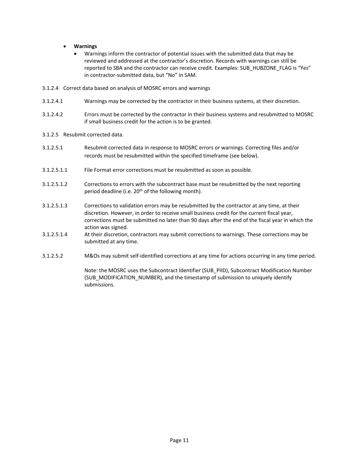- **Warnings**
	- Warnings inform the contractor of potential issues with the submitted data that may be reviewed and addressed at the contractor's discretion. Records with warnings can still be reported to SBA and the contractor can receive credit. Examples: SUB\_HUBZONE\_FLAG is "Yes" in contractor-submitted data, but "No" in SAM.
- 3.1.2.4 Correct data based on analysis of MOSRC errors and warnings
- 3.1.2.4.1 Warnings may be corrected by the contractor in their business systems, at their discretion.
- 3.1.2.4.2 Errors must be corrected by the contractor in their business systems and resubmitted to MOSRC if small business credit for the action is to be granted.
- 3.1.2.5 Resubmit corrected data.
- 3.1.2.5.1 Resubmit corrected data in response to MOSRC errors or warnings. Correcting files and/or records must be resubmitted within the specified timeframe (see below).
- 3.1.2.5.1.1 File Format error corrections must be resubmitted as soon as possible.
- 3.1.2.5.1.2 Corrections to errors with the subcontract base must be resubmitted by the next reporting period deadline (i.e. 20<sup>th</sup> of the following month).
- 3.1.2.5.1.3 Corrections to validation errors may be resubmitted by the contractor at any time, at their discretion. However, in order to receive small business credit for the current fiscal year, corrections must be submitted no later than 90 days after the end of the fiscal year in which the action was signed.
- 3.1.2.5.1.4 At their discretion, contractors may submit corrections to warnings. These corrections may be submitted at any time.
- 3.1.2.5.2 M&Os may submit self-identified corrections at any time for actions occurring in any time period.

Note: the MOSRC uses the Subcontract Identifier (SUB\_PIID), Subcontract Modification Number (SUB\_MODIFICATION\_NUMBER), and the timestamp of submission to uniquely identify submissions.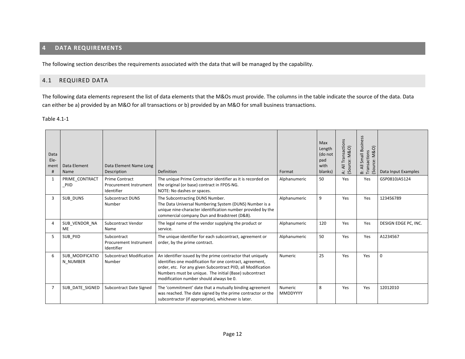# **4 DATA REQUIREMENTS**

The following section describes the requirements associated with the data that will be managed by the capability.

## 4.1 REQUIRED DATA

The following data elements represent the list of data elements that the M&Os must provide. The columns in the table indicate the source of the data. Data can either be a) provided by an M&O for all transactions or b) provided by an M&O for small business transactions.

#### Table 4.1-1

<span id="page-11-1"></span><span id="page-11-0"></span>

| Data<br>Ele-<br>ment<br># | Data Element<br>Name        | Data Element Name Long<br>Description                         | Definition                                                                                                                                                                                                                                                                                  | Format                     | Max<br>Length<br>(do not<br>pad<br>with<br>blanks) | All Transactions<br>(Source: M&O)<br>خ | Small Business<br>M&O)<br>Transactions<br>ource:<br>B: All<br>$\tilde{\omega}$ | Data Input Examples  |
|---------------------------|-----------------------------|---------------------------------------------------------------|---------------------------------------------------------------------------------------------------------------------------------------------------------------------------------------------------------------------------------------------------------------------------------------------|----------------------------|----------------------------------------------------|----------------------------------------|--------------------------------------------------------------------------------|----------------------|
| $\mathbf{1}$              | PRIME CONTRACT<br>PIID      | <b>Prime Contract</b><br>Procurement Instrument<br>Identifier | The unique Prime Contractor identifier as it is recorded on<br>the original (or base) contract in FPDS-NG.<br>NOTE: No dashes or spaces.                                                                                                                                                    | Alphanumeric               | 50                                                 | Yes                                    | Yes                                                                            | GSP0810JA5124        |
| 3                         | SUB DUNS                    | <b>Subcontract DUNS</b><br>Number                             | The Subcontracting DUNS Number.<br>The Data Universal Numbering System (DUNS) Number is a<br>unique nine-character identification number provided by the<br>commercial company Dun and Bradstreet (D&B).                                                                                    | Alphanumeric               | 9                                                  | Yes                                    | Yes                                                                            | 123456789            |
| $\overline{4}$            | SUB VENDOR NA<br>ME         | <b>Subcontract Vendor</b><br>Name                             | The legal name of the vendor supplying the product or<br>service.                                                                                                                                                                                                                           | Alphanumeric               | 120                                                | Yes                                    | Yes                                                                            | DESIGN EDGE PC, INC. |
| 5                         | SUB PIID                    | Subcontract<br>Procurement Instrument<br>Identifier           | The unique identifier for each subcontract, agreement or<br>order, by the prime contract.                                                                                                                                                                                                   | Alphanumeric               | 50                                                 | Yes                                    | Yes                                                                            | A1234567             |
| 6                         | SUB MODIFICATIO<br>N NUMBER | <b>Subcontract Modification</b><br>Number                     | An identifier issued by the prime contractor that uniquely<br>identifies one modification for one contract, agreement,<br>order, etc. For any given Subcontract PIID, all Modification<br>Numbers must be unique. The initial (Base) subcontract<br>modification number should always be 0. | Numeric                    | 25                                                 | Yes                                    | Yes                                                                            | $\mathbf 0$          |
| 7                         | SUB DATE SIGNED             | <b>Subcontract Date Signed</b>                                | The 'commitment' date that a mutually binding agreement<br>was reached. The date signed by the prime contractor or the<br>subcontractor (if appropriate), whichever is later.                                                                                                               | Numeric<br><b>MMDDYYYY</b> | 8                                                  | Yes                                    | Yes                                                                            | 12012010             |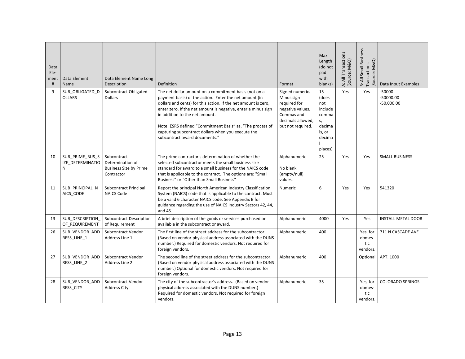| Data<br>Ele-<br>ment<br># | Data Element<br>Name                     | Data Element Name Long<br>Description                                          | Definition                                                                                                                                                                                                                                                                                                                                                                                                                               | Format                                                                                                                    | Max<br>Length<br>(do not<br>pad<br>with<br>blanks)                                    | A: All Transactions<br>(Source: M&O) | B: All Small Business<br>Transactions<br>(Source: M&O) | Data Input Examples                   |
|---------------------------|------------------------------------------|--------------------------------------------------------------------------------|------------------------------------------------------------------------------------------------------------------------------------------------------------------------------------------------------------------------------------------------------------------------------------------------------------------------------------------------------------------------------------------------------------------------------------------|---------------------------------------------------------------------------------------------------------------------------|---------------------------------------------------------------------------------------|--------------------------------------|--------------------------------------------------------|---------------------------------------|
| 9                         | SUB_OBLIGATED_D<br><b>OLLARS</b>         | Subcontract Obligated<br><b>Dollars</b>                                        | The net dollar amount on a commitment basis (not on a<br>payment basis) of the action. Enter the net amount (in<br>dollars and cents) for this action. If the net amount is zero,<br>enter zero. If the net amount is negative, enter a minus sign<br>in addition to the net amount.<br>Note: ESRS defined "Commitment Basis" as, "The process of<br>capturing subcontract dollars when you execute the<br>subcontract award documents." | Signed numeric.<br>Minus sign<br>required for<br>negative values.<br>Commas and<br>decimals allowed.<br>but not required. | 15<br>(does<br>not<br>include<br>comma<br>S,<br>decima<br>ls, or<br>decima<br>places) | Yes                                  | Yes                                                    | -50000<br>$-50000.00$<br>$-50,000.00$ |
| 10                        | SUB_PRIME_BUS_S<br>IZE DETERMINATIO<br>N | Subcontract<br>Determination of<br><b>Business Size by Prime</b><br>Contractor | The prime contractor's determination of whether the<br>selected subcontractor meets the small business size<br>standard for award to a small business for the NAICS code<br>that is applicable to the contract. The options are: "Small<br>Business" or "Other than Small Business"                                                                                                                                                      | Alphanumeric<br>No blank<br>(empty/null)<br>values.                                                                       | 25                                                                                    | Yes                                  | Yes                                                    | <b>SMALL BUSINESS</b>                 |
| 11                        | SUB PRINCIPAL N<br>AICS CODE             | <b>Subcontract Principal</b><br><b>NAICS Code</b>                              | Report the principal North American Industry Classification<br>System (NAICS) code that is applicable to the contract. Must<br>be a valid 6 character NAICS code. See Appendix B for<br>guidance regarding the use of NAICS Industry Sectors 42, 44,<br>and 45.                                                                                                                                                                          | Numeric                                                                                                                   | 6                                                                                     | Yes                                  | Yes                                                    | 541320                                |
| 13                        | SUB_DESCRIPTION<br>OF REQUIREMENT        | <b>Subcontract Description</b><br>of Requirement                               | A brief description of the goods or services purchased or<br>available in the subcontract or award.                                                                                                                                                                                                                                                                                                                                      | Alphanumeric                                                                                                              | 4000                                                                                  | Yes                                  | Yes                                                    | <b>INSTALL METAL DOOR</b>             |
| 26                        | SUB_VENDOR_ADD<br>RESS_LINE_1            | Subcontract Vendor<br>Address Line 1                                           | The first line of the street address for the subcontractor.<br>(Based on vendor physical address associated with the DUNS<br>number.) Required for domestic vendors. Not required for<br>foreign vendors.                                                                                                                                                                                                                                | Alphanumeric                                                                                                              | 400                                                                                   |                                      | Yes, for<br>domes-<br>tic<br>vendors.                  | 711 N CASCADE AVE                     |
| 27                        | SUB VENDOR ADD<br>RESS LINE 2            | Subcontract Vendor<br>Address Line 2                                           | The second line of the street address for the subcontractor.<br>(Based on vendor physical address associated with the DUNS<br>number.) Optional for domestic vendors. Not required for<br>foreign vendors.                                                                                                                                                                                                                               | Alphanumeric                                                                                                              | 400                                                                                   |                                      | Optional                                               | APT. 1000                             |
| 28                        | SUB VENDOR ADD<br>RESS_CITY              | Subcontract Vendor<br><b>Address City</b>                                      | The city of the subcontractor's address. (Based on vendor<br>physical address associated with the DUNS number.)<br>Required for domestic vendors. Not required for foreign<br>vendors.                                                                                                                                                                                                                                                   | Alphanumeric                                                                                                              | 35                                                                                    |                                      | Yes, for<br>domes-<br>tic<br>vendors.                  | <b>COLORADO SPRINGS</b>               |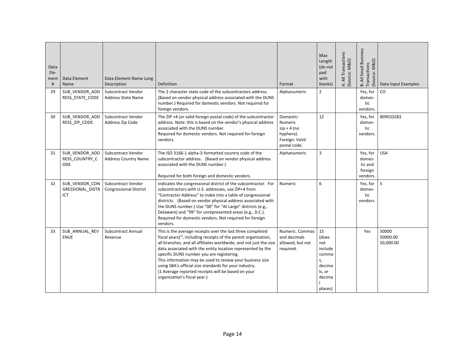| Data<br>Ele-<br>ment<br># | Data Element<br>Name                             | Data Element Name Long<br>Description               | Definition                                                                                                                                                                                                                                                                                                                                                                                                                                                                                                                      | Format                                                                                      | Max<br>Length<br>(do not<br>pad<br>with<br>blanks)                                    | A: All Transactions<br>(Source: M&O) | B: All Small Business<br>Source: M&O)<br>Transactions | Data Input Examples            |
|---------------------------|--------------------------------------------------|-----------------------------------------------------|---------------------------------------------------------------------------------------------------------------------------------------------------------------------------------------------------------------------------------------------------------------------------------------------------------------------------------------------------------------------------------------------------------------------------------------------------------------------------------------------------------------------------------|---------------------------------------------------------------------------------------------|---------------------------------------------------------------------------------------|--------------------------------------|-------------------------------------------------------|--------------------------------|
| 29                        | SUB VENDOR ADD<br>RESS STATE CODE                | Subcontract Vendor<br><b>Address State Name</b>     | The 2 character state code of the subcontractors address.<br>(Based on vendor physical address associated with the DUNS<br>number.) Required for domestic vendors. Not required for<br>foreign vendors.                                                                                                                                                                                                                                                                                                                         | Alphanumeric                                                                                | $\overline{2}$                                                                        |                                      | Yes, for<br>domes-<br>tic<br>vendors.                 | CO                             |
| 30                        | SUB VENDOR ADD<br>RESS ZIP CODE                  | Subcontract Vendor<br>Address Zip Code              | The ZIP +4 (or valid foreign postal code) of the subcontractor<br>address. Note: this is based on the vendor's physical address<br>associated with the DUNS number.<br>Required for domestic vendors. Not required for foreign<br>vendors.                                                                                                                                                                                                                                                                                      | Domestic:<br><b>Numeric</b><br>$zip + 4 (no$<br>hyphens).<br>Foreign: Valid<br>postal code. | 12                                                                                    |                                      | Yes, for<br>domes-<br>tic<br>vendors.                 | 809033283                      |
| 31                        | SUB VENDOR ADD<br>RESS_COUNTRY_C<br>ODE          | Subcontract Vendor<br><b>Address Country Name</b>   | The ISO 3166-1 alpha-3-formatted country code of the<br>subcontractor address. (Based on vendor physical address<br>associated with the DUNS number.)<br>Required for both foreign and domestic vendors.                                                                                                                                                                                                                                                                                                                        | Alphanumeric                                                                                | $\overline{3}$                                                                        |                                      | Yes, for<br>domes-<br>tic and<br>foreign<br>vendors.  | <b>USA</b>                     |
| 32                        | SUB_VENDOR_CON<br><b>GRESSIONAL DISTR</b><br>ICT | Subcontract Vendor<br><b>Congressional District</b> | Indicates the congressional district of the subcontractor. For<br>subcontractors with U.S. addresses, use ZIP+4 from<br>"Contractor Address" to index into a table of congressional<br>districts. (Based on vendor physical address associated with<br>the DUNS number.) Use "00" for "At Large" districts (e.g.,<br>Delaware) and "99" for unrepresented areas (e.g., D.C.).<br>Required for domestic vendors. Not required for foreign<br>vendors.                                                                            | Numeric                                                                                     | 6                                                                                     |                                      | Yes, for<br>domes-<br>tic<br>vendors.                 | 5                              |
| 33                        | SUB ANNUAL REV<br><b>ENUE</b>                    | <b>Subcontract Annual</b><br>Revenue                | This is the average receipts over the last three completed<br>fiscal years $(1)$ , including receipts of the parent organization,<br>all branches, and all affiliates worldwide, and not just the size<br>data associated with the entity location represented by the<br>specific DUNS number you are registering.<br>This information may be used to review your business size<br>using SBA's official size standards for your industry.<br>(1 Average reported receipts will be based on your<br>organization's fiscal year.) | Numeric. Commas<br>and decimals<br>allowed, but not<br>required.                            | 15<br>(does<br>not<br>include<br>comma<br>s,<br>decima<br>ls, or<br>decima<br>places) |                                      | Yes                                                   | 50000<br>50000.00<br>50,000.00 |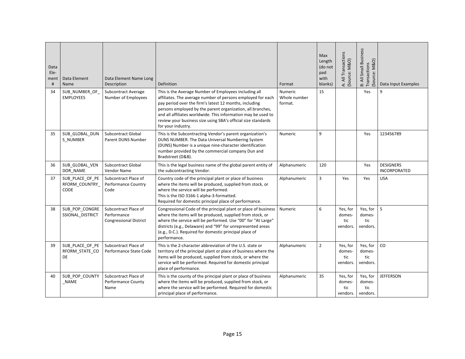| Data<br>Ele-<br>ment<br># | Data Element<br>Name                            | Data Element Name Long<br>Description                                | Definition                                                                                                                                                                                                                                                                                                                                                                                           | Format                             | Max<br>Length<br>(do not<br>pad<br>with<br>blanks) | A: All Transactions<br>(Source: M&O)  | B: All Small Business<br>Transactions<br>Source: M&O) | Data Input Examples                     |
|---------------------------|-------------------------------------------------|----------------------------------------------------------------------|------------------------------------------------------------------------------------------------------------------------------------------------------------------------------------------------------------------------------------------------------------------------------------------------------------------------------------------------------------------------------------------------------|------------------------------------|----------------------------------------------------|---------------------------------------|-------------------------------------------------------|-----------------------------------------|
| 34                        | SUB_NUMBER_OF_<br><b>EMPLOYEES</b>              | <b>Subcontract Average</b><br>Number of Employees                    | This is the Average Number of Employees including all<br>affiliates. The average number of persons employed for each<br>pay period over the firm's latest 12 months, including<br>persons employed by the parent organization, all branches,<br>and all affiliates worldwide. This information may be used to<br>review your business size using SBA's official size standards<br>for your industry. | Numeric<br>Whole number<br>format. | 15                                                 |                                       | Yes                                                   | 9                                       |
| 35                        | SUB_GLOBAL_DUN<br>S NUMBER                      | <b>Subcontract Global</b><br><b>Parent DUNS Number</b>               | This is the Subcontracting Vendor's parent organization's<br>DUNS NUMBER. The Data Universal Numbering System<br>(DUNS) Number is a unique nine-character identification<br>number provided by the commercial company Dun and<br>Bradstreet (D&B).                                                                                                                                                   | Numeric                            | 9                                                  |                                       | Yes                                                   | 123456789                               |
| 36                        | SUB GLOBAL VEN<br>DOR NAME                      | <b>Subcontract Global</b><br><b>Vendor Name</b>                      | This is the legal business name of the global parent entity of<br>the subcontracting Vendor.                                                                                                                                                                                                                                                                                                         | Alphanumeric                       | 120                                                |                                       | Yes                                                   | <b>DESIGNERS</b><br><b>INCORPORATED</b> |
| 37                        | SUB PLACE OF PE<br>RFORM COUNTRY<br><b>CODE</b> | Subcontract Place of<br>Performance Country<br>Code                  | Country code of the principal plant or place of business<br>where the items will be produced, supplied from stock, or<br>where the service will be performed.<br>This is the ISO 3166-1 alpha-3-formatted.<br>Required for domestic principal place of performance.                                                                                                                                  | Alphanumeric                       | $\overline{3}$                                     | Yes                                   | Yes                                                   | <b>USA</b>                              |
| 38                        | SUB_POP_CONGRE<br>SSIONAL DISTRICT              | Subcontract Place of<br>Performance<br><b>Congressional District</b> | Congressional Code of the principal plant or place of business<br>where the items will be produced, supplied from stock, or<br>where the service will be performed. Use "00" for "At Large"<br>districts (e.g., Delaware) and "99" for unrepresented areas<br>(e.g., D.C.). Required for domestic principal place of<br>performance.                                                                 | Numeric                            | 6                                                  | Yes, for<br>domes-<br>tic<br>vendors. | Yes, for<br>domes-<br>tic<br>vendors.                 | 5                                       |
| 39                        | SUB_PLACE_OF_PE<br>RFORM_STATE_CO<br><b>DE</b>  | Subcontract Place of<br>Performance State Code                       | This is the 2-character abbreviation of the U.S. state or<br>territory of the principal plant or place of business where the<br>items will be produced, supplied from stock, or where the<br>service will be performed. Required for domestic principal<br>place of performance.                                                                                                                     | Alphanumeric                       | $\overline{2}$                                     | Yes, for<br>domes-<br>tic<br>vendors. | Yes, for<br>domes-<br>tic<br>vendors.                 | CO                                      |
| 40                        | SUB_POP_COUNTY<br><b>NAME</b>                   | Subcontract Place of<br>Performance County<br>Name                   | This is the county of the principal plant or place of business<br>where the items will be produced, supplied from stock, or<br>where the service will be performed. Required for domestic<br>principal place of performance.                                                                                                                                                                         | Alphanumeric                       | 35                                                 | Yes, for<br>domes-<br>tic<br>vendors. | Yes, for<br>domes-<br>tic<br>vendors.                 | <b>JEFFERSON</b>                        |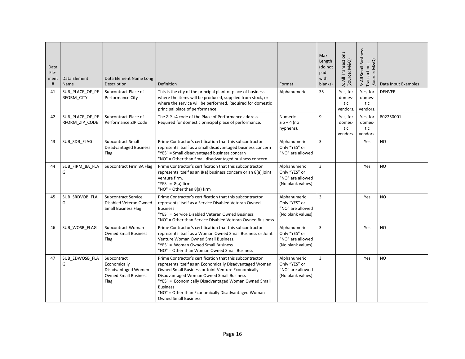| Data<br>Ele-<br>ment<br># | Data Element<br>Name              | Data Element Name Long<br>Description                                                     | Definition                                                                                                                                                                                                                                                                                                                                                                             | Format                                                                 | Max<br>Length<br>(do not<br>pad<br>with<br>blanks) | A: All Transactions<br>(Source: M&O)  | B: All Small Business<br>Transactions<br>Source: M&O) | Data Input Examples |
|---------------------------|-----------------------------------|-------------------------------------------------------------------------------------------|----------------------------------------------------------------------------------------------------------------------------------------------------------------------------------------------------------------------------------------------------------------------------------------------------------------------------------------------------------------------------------------|------------------------------------------------------------------------|----------------------------------------------------|---------------------------------------|-------------------------------------------------------|---------------------|
| 41                        | SUB_PLACE_OF_PE<br>RFORM CITY     | Subcontract Place of<br>Performance City                                                  | This is the city of the principal plant or place of business<br>where the items will be produced, supplied from stock, or<br>where the service will be performed. Required for domestic<br>principal place of performance.                                                                                                                                                             | Alphanumeric                                                           | 35                                                 | Yes, for<br>domes-<br>tic<br>vendors. | Yes, for<br>domes-<br>tic<br>vendors.                 | <b>DENVER</b>       |
| 42                        | SUB_PLACE_OF_PE<br>RFORM_ZIP_CODE | Subcontract Place of<br>Performance ZIP Code                                              | The ZIP +4 code of the Place of Performance address.<br>Required for domestic principal place of performance.                                                                                                                                                                                                                                                                          | Numeric<br>$zip + 4 (no$<br>hyphens).                                  | 9                                                  | Yes, for<br>domes-<br>tic<br>vendors. | Yes, for<br>domes-<br>tic<br>vendors.                 | 802250001           |
| 43                        | SUB_SDB_FLAG                      | <b>Subcontract Small</b><br><b>Disadvantaged Business</b><br>Flag                         | Prime Contractor's certification that this subcontractor<br>represents itself as a small disadvantaged business concern<br>"YES" = Small disadvantaged business concern<br>"NO" = Other than Small disadvantaged business concern                                                                                                                                                      | Alphanumeric<br>Only "YES" or<br>"NO" are allowed                      | $\overline{3}$                                     |                                       | Yes                                                   | <b>NO</b>           |
| 44                        | SUB_FIRM_8A_FLA<br>G              | Subcontract Firm 8A Flag                                                                  | Prime Contractor's certification that this subcontractor<br>represents itself as an 8(a) business concern or an 8(a) joint<br>venture firm.<br>"YES" = $8(a)$ firm<br>"NO" = Other than 8(a) firm                                                                                                                                                                                      | Alphanumeric<br>Only "YES" or<br>"NO" are allowed<br>(No blank values) | $\overline{3}$                                     |                                       | Yes                                                   | <b>NO</b>           |
| 45                        | SUB SRDVOB FLA<br>G               | <b>Subcontract Service</b><br>Disabled Veteran Owned<br><b>Small Business Flag</b>        | Prime Contractor's certification that this subcontractor<br>represents itself as a Service Disabled Veteran Owned<br><b>Business</b><br>"YES" = Service Disabled Veteran Owned Business<br>"NO" = Other than Service Disabled Veteran Owned Business                                                                                                                                   | Alphanumeric<br>Only "YES" or<br>"NO" are allowed<br>(No blank values) | $\overline{3}$                                     |                                       | Yes                                                   | <b>NO</b>           |
| 46                        | SUB_WOSB_FLAG                     | Subcontract Woman<br><b>Owned Small Business</b><br>Flag                                  | Prime Contractor's certification that this subcontractor<br>represents itself as a Woman Owned Small Business or Joint<br>Venture Woman Owned Small Business.<br>"YES" = Woman Owned Small Business<br>"NO" = Other than Woman Owned Small Business                                                                                                                                    | Alphanumeric<br>Only "YES" or<br>"NO" are allowed<br>(No blank values) | $\overline{3}$                                     |                                       | Yes                                                   | <b>NO</b>           |
| 47                        | SUB_EDWOSB_FLA<br>G               | Subcontract<br>Economically<br>Disadvantaged Women<br><b>Owned Small Business</b><br>Flag | Prime Contractor's certification that this subcontractor<br>represents itself as an Economically Disadvantaged Woman<br>Owned Small Business or Joint Venture Economically<br>Disadvantaged Woman Owned Small Business<br>"YES" = Economically Disadvantaged Woman Owned Small<br><b>Business</b><br>"NO" = Other than Economically Disadvantaged Woman<br><b>Owned Small Business</b> | Alphanumeric<br>Only "YES" or<br>"NO" are allowed<br>(No blank values) | $\overline{3}$                                     |                                       | Yes                                                   | <b>NO</b>           |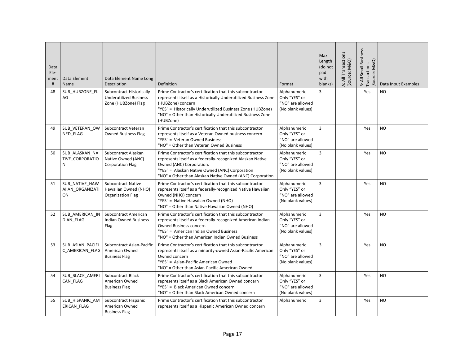| Data<br>Ele-<br>ment<br># | Data Element<br>Name                     | Data Element Name Long<br>Description                                            | Definition                                                                                                                                                                                                                                                                                | Format                                                                 | Max<br>Length<br>(do not<br>pad<br>with<br>blanks) | A: All Transactions<br>(Source: M&O) | B: All Small Business<br>Transactions<br>Source: M&O) | Data Input Examples |
|---------------------------|------------------------------------------|----------------------------------------------------------------------------------|-------------------------------------------------------------------------------------------------------------------------------------------------------------------------------------------------------------------------------------------------------------------------------------------|------------------------------------------------------------------------|----------------------------------------------------|--------------------------------------|-------------------------------------------------------|---------------------|
| 48                        | SUB HUBZONE FL<br>AG                     | Subcontract Historically<br><b>Underutilized Business</b><br>Zone (HUBZone) Flag | Prime Contractor's certification that this subcontractor<br>represents itself as a Historically Underutilized Business Zone<br>(HUBZone) concern<br>"YES" = Historically Underutilized Business Zone (HUBZone)<br>"NO" = Other than Historically Underutilized Business Zone<br>(HUBZone) | Alphanumeric<br>Only "YES" or<br>"NO" are allowed<br>(No blank values) | 3                                                  |                                      | Yes                                                   | <b>NO</b>           |
| 49                        | SUB_VETERAN_OW<br>NED FLAG               | Subcontract Veteran<br><b>Owned Business Flag</b>                                | Prime Contractor's certification that this subcontractor<br>represents itself as a Veteran Owned business concern<br>"YES" = Veteran Owned Business<br>"NO" = Other than Veteran Owned Business                                                                                           | Alphanumeric<br>Only "YES" or<br>"NO" are allowed<br>(No blank values) | $\overline{3}$                                     |                                      | Yes                                                   | <b>NO</b>           |
| 50                        | SUB_ALASKAN_NA<br>TIVE_CORPORATIO<br>N   | Subcontract Alaskan<br>Native Owned (ANC)<br><b>Corporation Flag</b>             | Prime Contractor's certification that this subcontractor<br>represents itself as a federally-recognized Alaskan Native<br>Owned (ANC) Corporation.<br>"YES" = Alaskan Native Owned (ANC) Corporation<br>"NO" = Other than Alaskan Native Owned (ANC) Corporation                          | Alphanumeric<br>Only "YES" or<br>"NO" are allowed<br>(No blank values) | 3                                                  |                                      | Yes                                                   | <b>NO</b>           |
| 51                        | SUB NATIVE HAW<br>AIIAN_ORGANIZATI<br>ON | <b>Subcontract Native</b><br>Hawaiian Owned (NHO)<br>Organization Flag           | Prime Contractor's certification that this subcontractor<br>represents itself as a federally-recognized Native Hawaiian<br>Owned (NHO) concern<br>"YES" = Native Hawaiian Owned (NHO)<br>"NO" = Other than Native Hawaiian Owned (NHO)                                                    | Alphanumeric<br>Only "YES" or<br>"NO" are allowed<br>(No blank values) | $\overline{3}$                                     |                                      | Yes                                                   | <b>NO</b>           |
| 52                        | SUB AMERICAN IN<br><b>DIAN FLAG</b>      | <b>Subcontract American</b><br><b>Indian Owned Business</b><br>Flag              | Prime Contractor's certification that this subcontractor<br>represents itself as a federally-recognized American Indian<br>Owned Business concern<br>"YES" = American Indian Owned Business<br>"NO" = Other than American Indian Owned Business                                           | Alphanumeric<br>Only "YES" or<br>"NO" are allowed<br>(No blank values) | $\overline{3}$                                     |                                      | Yes                                                   | NO                  |
| 53                        | SUB ASIAN PACIFI<br>C AMERICAN FLAG      | <b>Subcontract Asian-Pacific</b><br>American Owned<br><b>Business Flag</b>       | Prime Contractor's certification that this subcontractor<br>represents itself as a minority-owned Asian-Pacific American<br>Owned concern<br>"YES" = Asian-Pacific American Owned<br>"NO" = Other than Asian-Pacific American Owned                                                       | Alphanumeric<br>Only "YES" or<br>"NO" are allowed<br>(No blank values) | 3                                                  |                                      | Yes                                                   | <b>NO</b>           |
| 54                        | SUB BLACK AMERI<br>CAN FLAG              | <b>Subcontract Black</b><br>American Owned<br><b>Business Flag</b>               | Prime Contractor's certification that this subcontractor<br>represents itself as a Black American Owned concern<br>"YES" = Black American Owned concern<br>"NO" = Other than Black American Owned concern                                                                                 | Alphanumeric<br>Only "YES" or<br>"NO" are allowed<br>(No blank values) | $\overline{3}$                                     |                                      | Yes                                                   | <b>NO</b>           |
| 55                        | SUB_HISPANIC_AM<br>ERICAN FLAG           | Subcontract Hispanic<br>American Owned<br><b>Business Flag</b>                   | Prime Contractor's certification that this subcontractor<br>represents itself as a Hispanic American Owned concern                                                                                                                                                                        | Alphanumeric                                                           | 3                                                  |                                      | Yes                                                   | <b>NO</b>           |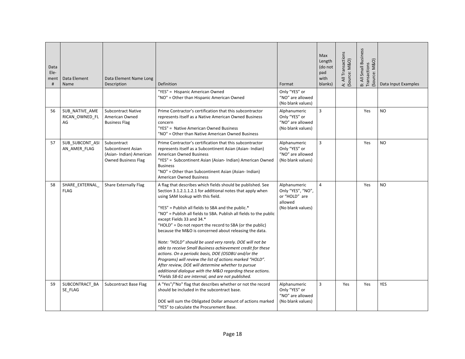| Data<br>Ele-<br>ment<br># | Data Element<br>Name                   | Data Element Name Long<br>Description                                                      | Definition                                                                                                                                                                                                                                                                                                                                                                                                                                                                                                                                                                                                                                                                                                                                                                                                                                                           | Format                                                                             | Max<br>Length<br>(do not<br>pad<br>with<br>blanks) | A: All Transactions<br>Source: M&O) | B: All Small Business<br>Transactions<br>Source: M&O) | Data Input Examples |
|---------------------------|----------------------------------------|--------------------------------------------------------------------------------------------|----------------------------------------------------------------------------------------------------------------------------------------------------------------------------------------------------------------------------------------------------------------------------------------------------------------------------------------------------------------------------------------------------------------------------------------------------------------------------------------------------------------------------------------------------------------------------------------------------------------------------------------------------------------------------------------------------------------------------------------------------------------------------------------------------------------------------------------------------------------------|------------------------------------------------------------------------------------|----------------------------------------------------|-------------------------------------|-------------------------------------------------------|---------------------|
|                           |                                        |                                                                                            | "YES" = Hispanic American Owned<br>"NO" = Other than Hispanic American Owned                                                                                                                                                                                                                                                                                                                                                                                                                                                                                                                                                                                                                                                                                                                                                                                         | Only "YES" or<br>"NO" are allowed<br>(No blank values)                             |                                                    |                                     |                                                       |                     |
| 56                        | SUB NATIVE AME<br>RICAN_OWNED_FL<br>AG | <b>Subcontract Native</b><br>American Owned<br><b>Business Flag</b>                        | Prime Contractor's certification that this subcontractor<br>represents itself as a Native American Owned Business<br>concern<br>"YES" = Native American Owned Business<br>"NO" = Other than Native American Owned Business                                                                                                                                                                                                                                                                                                                                                                                                                                                                                                                                                                                                                                           | Alphanumeric<br>Only "YES" or<br>"NO" are allowed<br>(No blank values)             | $\overline{3}$                                     |                                     | Yes                                                   | <b>NO</b>           |
| 57                        | SUB_SUBCONT_ASI<br>AN AMER FLAG        | Subcontract<br>Subcontinent Asian<br>(Asian-Indian) American<br><b>Owned Business Flag</b> | Prime Contractor's certification that this subcontractor<br>represents itself as a Subcontinent Asian (Asian-Indian)<br>American Owned Business<br>"YES" = Subcontinent Asian (Asian- Indian) American Owned<br><b>Business</b><br>"NO" = Other than Subcontinent Asian (Asian- Indian)<br><b>American Owned Business</b>                                                                                                                                                                                                                                                                                                                                                                                                                                                                                                                                            | Alphanumeric<br>Only "YES" or<br>"NO" are allowed<br>(No blank values)             | 3                                                  |                                     | Yes                                                   | <b>NO</b>           |
| 58                        | SHARE EXTERNAL<br><b>FLAG</b>          | Share Externally Flag                                                                      | A flag that describes which fields should be published. See<br>Section 3.1.2.1.1.2.1 for additional notes that apply when<br>using SAM lookup with this field.<br>"YES" = Publish all fields to SBA and the public.*<br>"NO" = Publish all fields to SBA. Publish all fields to the public<br>except Fields 33 and 34.*<br>"HOLD" = Do not report the record to SBA (or the public)<br>because the M&O is concerned about releasing the data.<br>Note: "HOLD" should be used very rarely. DOE will not be<br>able to receive Small Business achievement credit for these<br>actions. On a periodic basis, DOE (OSDBU and/or the<br>Programs) will review the list of actions marked "HOLD".<br>After review, DOE will determine whether to pursue<br>additional dialogue with the M&O regarding these actions.<br>*Fields 58-61 are internal, and are not published. | Alphanumeric<br>Only "YES", "NO",<br>or "HOLD" are<br>allowed<br>(No blank values) | $\overline{4}$                                     |                                     | Yes                                                   | <b>NO</b>           |
| 59                        | SUBCONTRACT_BA<br>SE FLAG              | <b>Subcontract Base Flag</b>                                                               | A "Yes"/"No" flag that describes whether or not the record<br>should be included in the subcontract base.<br>DOE will sum the Obligated Dollar amount of actions marked<br>"YES" to calculate the Procurement Base.                                                                                                                                                                                                                                                                                                                                                                                                                                                                                                                                                                                                                                                  | Alphanumeric<br>Only "YES" or<br>"NO" are allowed<br>(No blank values)             | $\overline{3}$                                     | Yes                                 | Yes                                                   | <b>YES</b>          |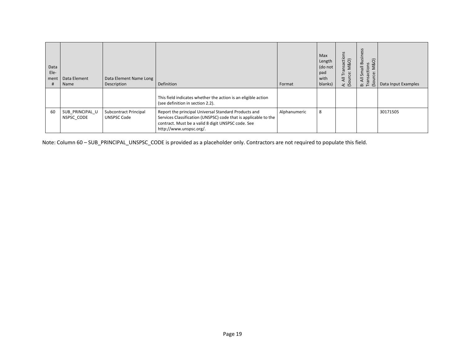| Data<br>Ele-<br>ment<br># | Data Element<br>Name          | Data Element Name Long<br>Description       | Definition                                                                                                                                                                                               | Format       | Max<br>Length<br>(do not<br>pad<br>with<br>blanks) | insaction<br>M&O)<br>Б<br>ë<br>⊢<br>A: All<br>(Sourc | SS<br>usines<br>M&O)<br>ᅌ<br>actions<br>$\equiv$<br>$\overline{sm}$<br>$\omega$<br>$\overline{\mathbf{z}}$<br>π<br>$\overline{S}$<br>$\ddot{m}$ $\ddot{m}$ | Data Input Examples |
|---------------------------|-------------------------------|---------------------------------------------|----------------------------------------------------------------------------------------------------------------------------------------------------------------------------------------------------------|--------------|----------------------------------------------------|------------------------------------------------------|------------------------------------------------------------------------------------------------------------------------------------------------------------|---------------------|
|                           |                               |                                             | This field indicates whether the action is an eligible action<br>(see definition in section 2.2).                                                                                                        |              |                                                    |                                                      |                                                                                                                                                            |                     |
| 60                        | SUB PRINCIPAL U<br>NSPSC CODE | Subcontract Principal<br><b>UNSPSC Code</b> | Report the principal Universal Standard Products and<br>Services Classification (UNSPSC) code that is applicable to the<br>contract. Must be a valid 8 digit UNSPSC code. See<br>http://www.unspsc.org/. | Alphanumeric | 8                                                  |                                                      |                                                                                                                                                            | 30171505            |

Note: Column 60 – SUB\_PRINCIPAL\_UNSPSC\_CODE is provided as a placeholder only. Contractors are not required to populate this field.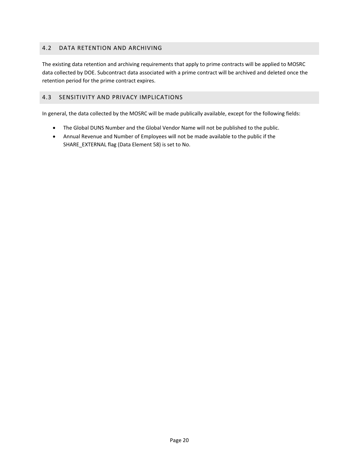# <span id="page-19-0"></span>4.2 DATA RETENTION AND ARCHIVING

The existing data retention and archiving requirements that apply to prime contracts will be applied to MOSRC data collected by DOE. Subcontract data associated with a prime contract will be archived and deleted once the retention period for the prime contract expires.

# <span id="page-19-1"></span>4.3 SENSITIVITY AND PRIVACY IMPLICATIONS

In general, the data collected by the MOSRC will be made publically available, except for the following fields:

- The Global DUNS Number and the Global Vendor Name will not be published to the public.
- Annual Revenue and Number of Employees will not be made available to the public if the SHARE\_EXTERNAL flag (Data Element 58) is set to No.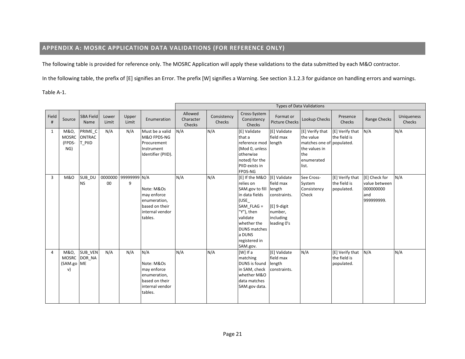# **APPENDIX A: MOSRC APPLICATION DATA VALIDATIONS (FOR REFERENCE ONLY)**

The following table is provided for reference only. The MOSRC Application will apply these validations to the data submitted by each M&O contractor.

In the following table, the prefix of [E] signifies an Error. The prefix [W] signifies a Warning. See section 3.1.2.3 for guidance on handling errors and warnings.

Table A-1.

<span id="page-20-0"></span>

|                |                                          |                                    |                |                   |                                                                                                  |                                |                       |                                                                                                                                                                                                              |                                                                                             | <b>Types of Data Validations</b>                                                                         |                                               |                                                                  |                      |
|----------------|------------------------------------------|------------------------------------|----------------|-------------------|--------------------------------------------------------------------------------------------------|--------------------------------|-----------------------|--------------------------------------------------------------------------------------------------------------------------------------------------------------------------------------------------------------|---------------------------------------------------------------------------------------------|----------------------------------------------------------------------------------------------------------|-----------------------------------------------|------------------------------------------------------------------|----------------------|
| Field<br>#     | Source                                   | <b>SBA Field</b><br>Name           | Lower<br>Limit | Upper<br>Limit    | Enumeration                                                                                      | Allowed<br>Character<br>Checks | Consistency<br>Checks | Cross-System<br>Consistency<br>Checks                                                                                                                                                                        | Format or<br><b>Picture Checks</b>                                                          | Lookup Checks                                                                                            | Presence<br>Checks                            | Range Checks                                                     | Uniqueness<br>Checks |
| 1              | M&O,<br><b>MOSRC</b><br>(FPDS-<br>NG)    | PRIME_C<br><b>ONTRAC</b><br>T_PIID | N/A            | N/A               | Must be a valid<br>M&O FPDS-NG<br>Procurement<br>Instrument<br>Identifier (PIID).                | N/A                            | N/A                   | [E] Validate<br>that a<br>reference mod length<br>(Mod 0, unless<br>otherwise<br>noted) for the<br>PIID exists in<br><b>FPDS-NG</b>                                                                          | [E] Validate<br>field max                                                                   | [E] Verify that<br>the value<br>matches one of populated.<br>the values in<br>the<br>enumerated<br>list. | [E] Verify that<br>the field is               | N/A                                                              | N/A                  |
| 3              | <b>M&amp;O</b>                           | SUB_DU<br><b>NS</b>                | 0000000<br>00  | 99999999 N/A<br>9 | Note: M&Os<br>may enforce<br>enumeration,<br>based on their<br>internal vendor<br>tables.        | N/A                            | N/A                   | [E] If the M&O [E] Validate<br>relies on<br>SAM.gov to fill<br>in data fields<br>(USE<br>$SAM$ FLAG =<br>"Y"), then<br>validate<br>whether the<br><b>DUNS matches</b><br>a DUNS<br>registered in<br>SAM.gov. | field max<br>length<br>constraints.<br>$E$ ] 9-digit<br>number,<br>including<br>leading 0's | See Cross-<br>System<br>Consistency<br>Check                                                             | [E] Verify that<br>the field is<br>populated. | [E] Check for<br>value between<br>000000000<br>and<br>999999999. | N/A                  |
| $\overline{4}$ | M&O,<br><b>MOSRC</b><br>(SAM.go ME<br>v) | <b>SUB VEN</b><br>DOR_NA           | N/A            | N/A               | N/A<br>Note: M&Os<br>may enforce<br>enumeration,<br>based on their<br>internal vendor<br>tables. | N/A                            | N/A                   | [W] If a<br>matching<br>DUNS is found<br>in SAM, check<br>whether M&O<br>data matches<br>SAM.gov data.                                                                                                       | [E] Validate<br>field max<br>length<br>constraints.                                         | N/A                                                                                                      | [E] Verify that<br>the field is<br>populated. | N/A                                                              | N/A                  |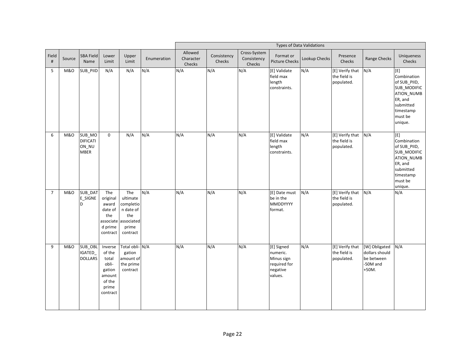|                |                |                                                   |                                                                                        |                                                                                               |             |                                |                       |                                       |                                                                             | <b>Types of Data Validations</b> |                                               |                                                                      |                                                                                                                            |
|----------------|----------------|---------------------------------------------------|----------------------------------------------------------------------------------------|-----------------------------------------------------------------------------------------------|-------------|--------------------------------|-----------------------|---------------------------------------|-----------------------------------------------------------------------------|----------------------------------|-----------------------------------------------|----------------------------------------------------------------------|----------------------------------------------------------------------------------------------------------------------------|
| Field<br>$\#$  | Source         | <b>SBA Field</b><br>Name                          | Lower<br>Limit                                                                         | Upper<br>Limit                                                                                | Enumeration | Allowed<br>Character<br>Checks | Consistency<br>Checks | Cross-System<br>Consistency<br>Checks | Format or<br><b>Picture Checks</b>                                          | Lookup Checks                    | Presence<br>Checks                            | Range Checks                                                         | Uniqueness<br>Checks                                                                                                       |
| 5              | M&O            | SUB_PIID                                          | N/A                                                                                    | N/A                                                                                           | N/A         | N/A                            | N/A                   | N/A                                   | [E] Validate<br>field max<br>length<br>constraints.                         | N/A                              | [E] Verify that<br>the field is<br>populated. | N/A                                                                  | Combination<br>of SUB_PIID,<br>SUB MODIFIC<br>ATION_NUMB<br>ER, and<br>submitted<br>timestamp<br>must be<br>unique.        |
| 6              | <b>M&amp;O</b> | SUB_MO<br><b>DIFICATI</b><br>ON_NU<br><b>MBER</b> | 0                                                                                      | N/A                                                                                           | N/A         | N/A                            | N/A                   | N/A                                   | [E] Validate<br>field max<br>length<br>constraints.                         | N/A                              | [E] Verify that<br>the field is<br>populated. | N/A                                                                  | [E]<br>Combination<br>of SUB PIID,<br>SUB MODIFIC<br>ATION_NUMB<br>ER, and<br>submitted<br>timestamp<br>must be<br>unique. |
| $\overline{7}$ | <b>M&amp;O</b> | SUB_DAT<br><b>E_SIGNE</b><br>D                    | The<br>original<br>award<br>date of<br>the<br>d prime<br>contract                      | The<br>ultimate<br>completio<br>n date of<br>the<br>associate associated<br>prime<br>contract | N/A         | N/A                            | N/A                   | N/A                                   | [E] Date must<br>be in the<br><b>MMDDYYYY</b><br>format.                    | N/A                              | [E] Verify that<br>the field is<br>populated. | N/A                                                                  | N/A                                                                                                                        |
| 9              | <b>M&amp;O</b> | SUB_OBL<br><b>IGATED</b><br><b>DOLLARS</b>        | Inverse<br>of the<br>total<br>obli-<br>gation<br>amount<br>of the<br>prime<br>contract | Total obli- N/A<br>gation<br>amount of<br>the prime<br>contract                               |             | N/A                            | N/A                   | N/A                                   | [E] Signed<br>numeric.<br>Minus sign<br>required for<br>negative<br>values. | N/A                              | [E] Verify that<br>the field is<br>populated. | [W] Obligated<br>dollars should<br>be between<br>-50M and<br>$+50M.$ | N/A                                                                                                                        |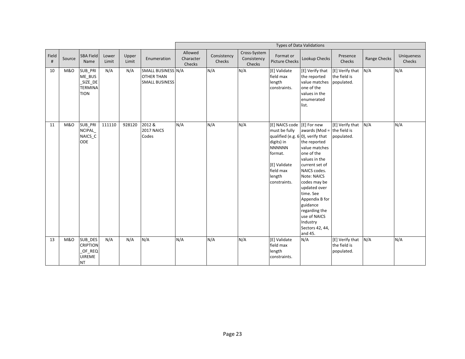|            |                |                                                                    |                |                |                                                                  |                                |                       |                                       |                                                                                                                                                                                      | <b>Types of Data Validations</b>                                                                                                                                                                                                                                                                  |                                               |              |                      |
|------------|----------------|--------------------------------------------------------------------|----------------|----------------|------------------------------------------------------------------|--------------------------------|-----------------------|---------------------------------------|--------------------------------------------------------------------------------------------------------------------------------------------------------------------------------------|---------------------------------------------------------------------------------------------------------------------------------------------------------------------------------------------------------------------------------------------------------------------------------------------------|-----------------------------------------------|--------------|----------------------|
| Field<br># | Source         | <b>SBA Field</b><br>Name                                           | Lower<br>Limit | Upper<br>Limit | Enumeration                                                      | Allowed<br>Character<br>Checks | Consistency<br>Checks | Cross-System<br>Consistency<br>Checks | Format or<br><b>Picture Checks</b>                                                                                                                                                   | Lookup Checks                                                                                                                                                                                                                                                                                     | Presence<br>Checks                            | Range Checks | Uniqueness<br>Checks |
| 10         | <b>M&amp;O</b> | SUB_PRI<br>ME_BUS<br>SIZE_DE<br><b>TERMINA</b><br><b>TION</b>      | N/A            | N/A            | SMALL BUSINESS N/A<br><b>OTHER THAN</b><br><b>SMALL BUSINESS</b> |                                | N/A                   | N/A                                   | [E] Validate<br>field max<br>length<br>constraints.                                                                                                                                  | [E] Verify that<br>the reported<br>value matches<br>one of the<br>values in the<br>enumerated<br>list.                                                                                                                                                                                            | [E] Verify that<br>the field is<br>populated. | N/A          | N/A                  |
| 11         | <b>M&amp;O</b> | SUB_PRI<br>NCIPAL_<br>NAICS_C<br>ODE                               | 111110         | 928120         | 2012 &<br>2017 NAICS<br>Codes                                    | N/A                            | N/A                   | N/A                                   | [E] NAICS code [E] For new<br>must be fully<br>qualified (e.g. $6 0$ ), verify that<br>digits) in<br><b>NNNNNN</b><br>format.<br>[E] Validate<br>field max<br>length<br>constraints. | awards (Mod = the field is<br>the reported<br>value matches<br>one of the<br>values in the<br>current set of<br>NAICS codes.<br>Note: NAICS<br>codes may be<br>updated over<br>time. See<br>Appendix B for<br>guidance<br>regarding the<br>use of NAICS<br>Industry<br>Sectors 42, 44,<br>and 45. | [E] Verify that<br>populated.                 | N/A          | N/A                  |
| 13         | <b>M&amp;O</b> | SUB_DES<br><b>CRIPTION</b><br>OF_REQ<br><b>UIREME</b><br><b>NT</b> | N/A            | N/A            | N/A                                                              | N/A                            | N/A                   | N/A                                   | [E] Validate<br>field max<br>length<br>constraints.                                                                                                                                  | N/A                                                                                                                                                                                                                                                                                               | [E] Verify that<br>the field is<br>populated. | N/A          | N/A                  |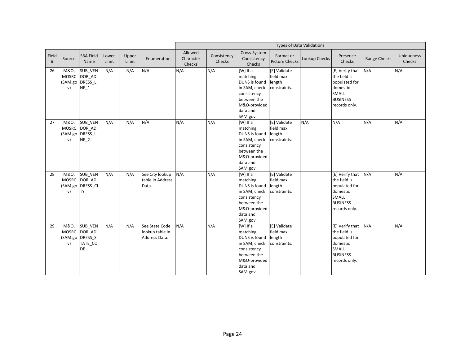|            |                            |                                                              |                |                |                                                    |                                |                       |                                                                                                                                     |                                                     | <b>Types of Data Validations</b> |                                                                                                                  |              |                      |
|------------|----------------------------|--------------------------------------------------------------|----------------|----------------|----------------------------------------------------|--------------------------------|-----------------------|-------------------------------------------------------------------------------------------------------------------------------------|-----------------------------------------------------|----------------------------------|------------------------------------------------------------------------------------------------------------------|--------------|----------------------|
| Field<br># | Source                     | <b>SBA Field</b><br>Name                                     | Lower<br>Limit | Upper<br>Limit | Enumeration                                        | Allowed<br>Character<br>Checks | Consistency<br>Checks | Cross-System<br>Consistency<br>Checks                                                                                               | Format or<br><b>Picture Checks</b>                  | Lookup Checks                    | Presence<br>Checks                                                                                               | Range Checks | Uniqueness<br>Checks |
| 26         | M&O,<br>v)                 | SUB_VEN<br>MOSRC DOR AD<br>(SAM.go DRESS_LI<br>$NE_1$        | N/A            | N/A            | N/A                                                | N/A                            | N/A                   | [W] If a<br>matching<br>DUNS is found<br>in SAM, check<br>consistency<br>between the<br>M&O-provided<br>data and<br>SAM.gov.        | [E] Validate<br>field max<br>length<br>constraints. |                                  | [E] Verify that<br>the field is<br>populated for<br>domestic<br><b>SMALL</b><br><b>BUSINESS</b><br>records only. | N/A          | N/A                  |
| 27         | M&O,<br><b>MOSRC</b><br>v) | <b>SUB VEN</b><br>DOR AD<br>(SAM.go DRESS_LI<br>$NE_2$       | N/A            | N/A            | N/A                                                | N/A                            | N/A                   | [W] If a<br>matching<br><b>DUNS</b> is found<br>in SAM, check<br>consistency<br>between the<br>M&O-provided<br>data and<br>SAM.gov. | [E] Validate<br>field max<br>length<br>constraints. | N/A                              | N/A                                                                                                              | N/A          | N/A                  |
| 28         | M&O,<br><b>MOSRC</b><br>v) | SUB_VEN<br>DOR AD<br>(SAM.go DRESS_CI<br><b>TY</b>           | N/A            | N/A            | See City lookup<br>table in Address<br>Data.       | N/A                            | N/A                   | [W] If a<br>matching<br>DUNS is found<br>in SAM, check<br>consistency<br>between the<br>M&O-provided<br>data and<br>SAM.gov.        | [E] Validate<br>field max<br>length<br>constraints. |                                  | [E] Verify that<br>the field is<br>populated for<br>domestic<br><b>SMALL</b><br><b>BUSINESS</b><br>records only. | N/A          | N/A                  |
| 29         | M&O,<br><b>MOSRC</b><br>v) | SUB_VEN<br>DOR AD<br>(SAM.go DRESS_S<br>TATE_CO<br><b>DE</b> | N/A            | N/A            | See State Code<br>lookup table in<br>Address Data. | N/A                            | N/A                   | $[W]$ If a<br>matching<br>DUNS is found<br>in SAM, check<br>consistency<br>between the<br>M&O-provided<br>data and<br>SAM.gov.      | [E] Validate<br>field max<br>length<br>constraints. |                                  | [E] Verify that<br>the field is<br>populated for<br>domestic<br>SMALL<br><b>BUSINESS</b><br>records only.        | N/A          | N/A                  |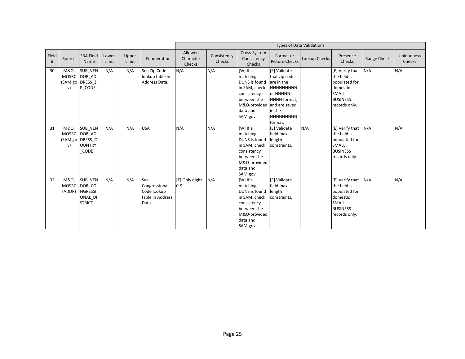|            |                                |                                                                            |                |                |                                                                  |                                |                       |                                                                                                                                                   |                                                                                                                                        | <b>Types of Data Validations</b> |                                                                                                                  |                     |                      |
|------------|--------------------------------|----------------------------------------------------------------------------|----------------|----------------|------------------------------------------------------------------|--------------------------------|-----------------------|---------------------------------------------------------------------------------------------------------------------------------------------------|----------------------------------------------------------------------------------------------------------------------------------------|----------------------------------|------------------------------------------------------------------------------------------------------------------|---------------------|----------------------|
| Field<br># | Source                         | <b>SBA Field</b><br>Name                                                   | Lower<br>Limit | Upper<br>Limit | Enumeration                                                      | Allowed<br>Character<br>Checks | Consistency<br>Checks | Cross-System<br>Consistency<br>Checks                                                                                                             | Format or<br><b>Picture Checks</b>                                                                                                     | Lookup Checks                    | Presence<br>Checks                                                                                               | <b>Range Checks</b> | Uniqueness<br>Checks |
| 30         | M&O,<br><b>MOSRC</b><br>v)     | SUB_VEN<br>DOR AD<br>(SAM.go DRESS_ZI<br>P CODE                            | N/A            | N/A            | See Zip Code<br>lookup table in<br>Address Data.                 | N/A                            | N/A                   | [W] If a<br>matching<br><b>DUNS</b> is found<br>in SAM, check<br>consistency<br>between the<br>M&O-provided and are saved<br>data and<br>SAM.gov. | [E] Validate<br>that zip codes<br>are in the<br><b>NNNNNNNNN</b><br>or NNNNN-<br>NNNN format.<br>in the<br><b>NNNNNNNNN</b><br>format. |                                  | [E] Verify that<br>the field is<br>populated for<br>domestic<br><b>SMALL</b><br><b>BUSINESS</b><br>records only. | N/A                 | N/A                  |
| 31         | M&O,<br>v)                     | <b>SUB VEN</b><br>MOSRC DOR AD<br>(SAM.go DRESS_C<br><b>OUNTRY</b><br>CODE | N/A            | N/A            | <b>USA</b>                                                       | N/A                            | N/A                   | [W] If a<br>matching<br>DUNS is found<br>in SAM, check<br>consistency<br>between the<br>M&O-provided<br>data and<br>SAM.gov.                      | [E] Validate<br>field max<br>length<br>constraints.                                                                                    | N/A                              | [E] Verify that<br>the field is<br>populated for<br><b>SMALL</b><br><b>BUSINESS</b><br>records only.             | N/A                 | N/A                  |
| 32         | M&O,<br><b>MOSRC</b><br>(ADDR) | <b>SUB VEN</b><br>DOR CO<br><b>NGRESSI</b><br>ONAL DI<br><b>STRICT</b>     | N/A            | N/A            | See<br>Congressional<br>Code lookup<br>table in Address<br>Data. | [E] Only digits<br>$0 - 9$     | N/A                   | [W] If a<br>matching<br>DUNS is found<br>in SAM, check<br>consistency<br>between the<br>M&O-provided<br>data and<br>SAM.gov.                      | [E] Validate<br>field max<br>length<br>constraints.                                                                                    |                                  | [E] Verify that<br>the field is<br>populated for<br>domestic<br><b>SMALL</b><br><b>BUSINESS</b><br>records only. | N/A                 | N/A                  |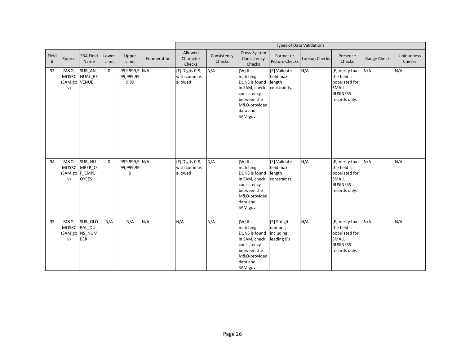|            |                                              |                                                          |                |                                    |             |                                           |                       |                                                                                                                                       | <b>Types of Data Validations</b>                    |               |                                                                                                      |                     |                      |
|------------|----------------------------------------------|----------------------------------------------------------|----------------|------------------------------------|-------------|-------------------------------------------|-----------------------|---------------------------------------------------------------------------------------------------------------------------------------|-----------------------------------------------------|---------------|------------------------------------------------------------------------------------------------------|---------------------|----------------------|
| Field<br># | Source                                       | <b>SBA Field</b><br>Name                                 | Lower<br>Limit | Upper<br>Limit                     | Enumeration | Allowed<br>Character<br>Checks            | Consistency<br>Checks | Cross-System<br>Consistency<br>Checks                                                                                                 | Format or<br><b>Picture Checks</b>                  | Lookup Checks | Presence<br>Checks                                                                                   | <b>Range Checks</b> | Uniqueness<br>Checks |
| 33         | M&O,<br><b>MOSRC</b><br>(SAM.go VENUE<br>v)  | SUB_AN<br>NUAL_RE                                        | $\Omega$       | 999,999,9 N/A<br>99,999,99<br>9.99 |             | [E] Digits 0-9;<br>with commas<br>allowed | N/A                   | $[W]$ If a<br>matching<br>DUNS is found<br>in SAM, check<br>consistency<br>between the<br>M&O-provided<br>data and<br>SAM.gov.        | [E] Validate<br>field max<br>length<br>constraints. | N/A           | [E] Verify that<br>the field is<br>populated for<br>SMALL<br><b>BUSINESS</b><br>records only.        | N/A                 | N/A                  |
| 34         | M&O,<br><b>MOSRC</b><br>(SAM.go F_EMPL<br>v) | SUB NU<br>MBER O<br><b>OYEES</b>                         | $\Omega$       | 999,999,9 N/A<br>99,999,99<br>9    |             | [E] Digits 0-9;<br>with commas<br>allowed | N/A                   | [W] If a<br>matching<br>DUNS is found<br>in SAM, check<br>consistency<br>between the<br>M&O-provided<br>data and<br>SAM.gov.          | [E] Validate<br>field max<br>length<br>constraints. | N/A           | [E] Verify that<br>the field is<br>populated for<br>SMALL<br><b>BUSINESS</b><br>records only.        | N/A                 | N/A                  |
| 35         | M&O,<br><b>MOSRC</b><br>v)                   | SUB_GLO<br><b>BAL DU</b><br>(SAM.go NS_NUM<br><b>BER</b> | N/A            | N/A                                | N/A         | N/A                                       | N/A                   | $[W]$ If a<br>matching<br><b>DUNS</b> is found<br>in SAM, check<br>consistency<br>between the<br>M&O-provided<br>data and<br>SAM.gov. | [E] 9-digit<br>number,<br>including<br>leading 0's  | N/A           | [E] Verify that<br>the field is<br>populated for<br><b>SMALL</b><br><b>BUSINESS</b><br>records only. | N/A                 | N/A                  |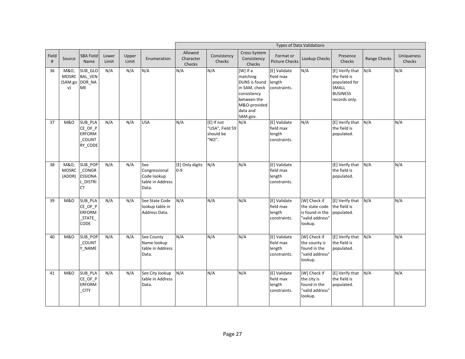|               |                                       |                                                                  |                |                |                                                                  |                                |                                                     |                                                                                                                              |                                                     | <b>Types of Data Validations</b>                                                |                                                                                               |              |                             |
|---------------|---------------------------------------|------------------------------------------------------------------|----------------|----------------|------------------------------------------------------------------|--------------------------------|-----------------------------------------------------|------------------------------------------------------------------------------------------------------------------------------|-----------------------------------------------------|---------------------------------------------------------------------------------|-----------------------------------------------------------------------------------------------|--------------|-----------------------------|
| Field<br>$\#$ | Source                                | <b>SBA Field</b><br>Name                                         | Lower<br>Limit | Upper<br>Limit | Enumeration                                                      | Allowed<br>Character<br>Checks | Consistency<br>Checks                               | Cross-System<br>Consistency<br>Checks                                                                                        | Format or<br><b>Picture Checks</b>                  | Lookup Checks                                                                   | Presence<br>Checks                                                                            | Range Checks | <b>Uniqueness</b><br>Checks |
| 36            | M&O,<br><b>MOSRC</b><br>(SAM.go<br>v) | SUB_GLO<br><b>BAL VEN</b><br>DOR_NA<br>ME                        | N/A            | N/A            | N/A                                                              | N/A                            | N/A                                                 | [W] If a<br>matching<br>DUNS is found<br>in SAM, check<br>consistency<br>between the<br>M&O-provided<br>data and<br>SAM.gov. | [E] Validate<br>field max<br>length<br>constraints. | N/A                                                                             | [E] Verify that<br>the field is<br>populated for<br>SMALL<br><b>BUSINESS</b><br>records only. | N/A          | N/A                         |
| 37            | <b>M&amp;O</b>                        | SUB_PLA<br>CE_OF_P<br><b>ERFORM</b><br>COUNT<br>RY_CODE          | N/A            | N/A            | <b>USA</b>                                                       | N/A                            | [E] If not<br>"USA", Field 59<br>should be<br>"NO". | N/A                                                                                                                          | [E] Validate<br>field max<br>length<br>constraints. | N/A                                                                             | [E] Verify that<br>the field is<br>populated.                                                 | N/A          | N/A                         |
| 38            | M&O,<br><b>MOSRC</b><br>(ADDR)        | SUB_POP<br>CONGR<br><b>ESSIONA</b><br>L_DISTRI<br><b>CT</b>      | N/A            | N/A            | See<br>Congressional<br>Code lookup<br>table in Address<br>Data. | [E] Only digits<br>$0-9$       | N/A                                                 | N/A                                                                                                                          | [E] Validate<br>field max<br>length<br>constraints. |                                                                                 | [E] Verify that<br>the field is<br>populated.                                                 | N/A          | N/A                         |
| 39            | <b>M&amp;O</b>                        | SUB_PLA<br>$CE$ <sup>OF</sup><br><b>ERFORM</b><br>_STATE<br>CODE | N/A            | N/A            | See State Code<br>lookup table in<br>Address Data.               | N/A                            | N/A                                                 | N/A                                                                                                                          | [E] Validate<br>field max<br>length<br>constraints. | [W] Check if<br>the state code<br>is found in the<br>'valid address"<br>lookup. | [E] Verify that<br>the field is<br>populated.                                                 | N/A          | N/A                         |
| 40            | <b>M&amp;O</b>                        | SUB_POP<br>COUNT<br>Y_NAME                                       | N/A            | N/A            | See County<br>Name lookup<br>table in Address<br>Data.           | N/A                            | N/A                                                 | N/A                                                                                                                          | [E] Validate<br>field max<br>length<br>constraints. | [W] Check if<br>the county is<br>found in the<br>"valid address"<br>lookup.     | [E] Verify that<br>the field is<br>populated.                                                 | N/A          | N/A                         |
| 41            | <b>M&amp;O</b>                        | SUB_PLA<br>CE_OF_P<br><b>ERFORM</b><br><b>CITY</b>               | N/A            | N/A            | See City lookup<br>table in Address<br>Data.                     | N/A                            | N/A                                                 | N/A                                                                                                                          | [E] Validate<br>field max<br>length<br>constraints. | [W] Check if<br>the city is<br>found in the<br>"valid address"<br>lookup.       | [E] Verify that<br>the field is<br>populated.                                                 | N/A          | N/A                         |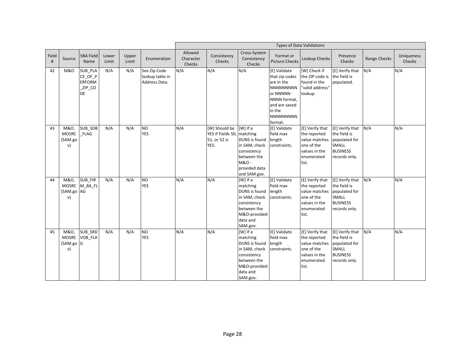|            |                                         |                                                            |                |                |                                                  |                                |                                                                     |                                                                                                                                     |                                                                                                                                                         | <b>Types of Data Validations</b>                                                                       |                                                                                                      |              |                             |
|------------|-----------------------------------------|------------------------------------------------------------|----------------|----------------|--------------------------------------------------|--------------------------------|---------------------------------------------------------------------|-------------------------------------------------------------------------------------------------------------------------------------|---------------------------------------------------------------------------------------------------------------------------------------------------------|--------------------------------------------------------------------------------------------------------|------------------------------------------------------------------------------------------------------|--------------|-----------------------------|
| Field<br># | Source                                  | <b>SBA Field</b><br>Name                                   | Lower<br>Limit | Upper<br>Limit | Enumeration                                      | Allowed<br>Character<br>Checks | Consistency<br>Checks                                               | Cross-System<br>Consistency<br>Checks                                                                                               | Format or<br><b>Picture Checks</b>                                                                                                                      | Lookup Checks                                                                                          | Presence<br>Checks                                                                                   | Range Checks | <b>Uniqueness</b><br>Checks |
| 42         | M&O                                     | SUB_PLA<br>CE_OF_P<br><b>ERFORM</b><br>ZIP_CO<br><b>DE</b> | N/A            | N/A            | See Zip Code<br>lookup table in<br>Address Data. | N/A                            | N/A                                                                 | N/A                                                                                                                                 | [E] Validate<br>that zip codes<br>are in the<br><b>NNNNNNNNN</b><br>or NNNNN-<br>NNNN format,<br>and are saved<br>in the<br><b>NNNNNNNNN</b><br>format. | [W] Check if<br>the ZIP code is the field is<br>found in the<br>"valid address"<br>lookup.             | [E] Verify that<br>populated.                                                                        | N/A          | N/A                         |
| 43         | M&O,<br><b>MOSRC</b><br>(SAM.go<br>v)   | SUB SDB<br><b>FLAG</b>                                     | N/A            | N/A            | <b>NO</b><br><b>YES</b>                          | N/A                            | [W] Should be<br>YES if Fields 50, matching<br>51, or 52 is<br>YES. | [W] If a<br>DUNS is found<br>in SAM, check<br>consistency<br>between the<br>M&O -<br>provided data<br>and SAM.gov.                  | [E] Validate<br>field max<br>length<br>constraints.                                                                                                     | [E] Verify that<br>the reported<br>value matches<br>one of the<br>values in the<br>enumerated<br>list. | [E] Verify that<br>the field is<br>populated for<br><b>SMALL</b><br><b>BUSINESS</b><br>records only. | N/A          | N/A                         |
| 44         | M&O,<br>(SAM.go AG<br>$\mathsf{v}$      | SUB FIR<br>MOSRC M_8A_FL                                   | N/A            | N/A            | <b>NO</b><br><b>YES</b>                          | N/A                            | N/A                                                                 | [W] If a<br>matching<br>DUNS is found length<br>in SAM, check<br>consistency<br>between the<br>M&O-provided<br>data and<br>SAM.gov. | [E] Validate<br>field max<br>constraints.                                                                                                               | [E] Verify that<br>the reported<br>value matches<br>one of the<br>values in the<br>enumerated<br>list. | [E] Verify that<br>the field is<br>populated for<br>SMALL<br><b>BUSINESS</b><br>records only.        | N/A          | N/A                         |
| 45         | M&O,<br><b>MOSRC</b><br>(SAM.go G<br>V) | SUB_SRD<br>VOB_FLA                                         | N/A            | N/A            | <b>NO</b><br><b>YES</b>                          | N/A                            | N/A                                                                 | [W] If a<br>matching<br>DUNS is found<br>in SAM, check<br>consistency<br>between the<br>M&O-provided<br>data and<br>SAM.gov.        | [E] Validate<br>field max<br>length<br>constraints.                                                                                                     | [E] Verify that<br>the reported<br>value matches<br>one of the<br>values in the<br>enumerated<br>list. | [E] Verify that<br>the field is<br>populated for<br>SMALL<br><b>BUSINESS</b><br>records only.        | N/A          | N/A                         |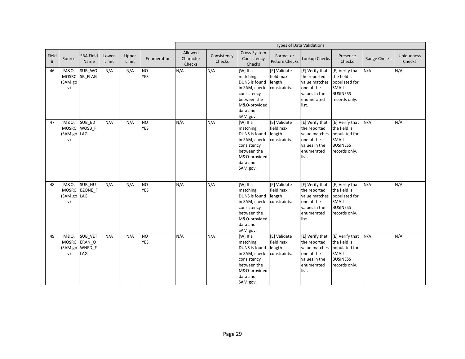|            |                                           |                                            |                |                |                              |                                |                       |                                                                                                                                       |                                                     | <b>Types of Data Validations</b>                                                                                       |                                                                                                      |              |                             |
|------------|-------------------------------------------|--------------------------------------------|----------------|----------------|------------------------------|--------------------------------|-----------------------|---------------------------------------------------------------------------------------------------------------------------------------|-----------------------------------------------------|------------------------------------------------------------------------------------------------------------------------|------------------------------------------------------------------------------------------------------|--------------|-----------------------------|
| Field<br># | Source                                    | <b>SBA Field</b><br>Name                   | Lower<br>Limit | Upper<br>Limit | Enumeration                  | Allowed<br>Character<br>Checks | Consistency<br>Checks | Cross-System<br>Consistency<br>Checks                                                                                                 | Format or<br><b>Picture Checks</b>                  | Lookup Checks                                                                                                          | Presence<br>Checks                                                                                   | Range Checks | <b>Uniqueness</b><br>Checks |
| 46         | M&O,<br><b>MOSRC</b><br>(SAM.go<br>v)     | SUB_WO<br>SB FLAG                          | N/A            | N/A            | <b>NO</b><br><b>YES</b>      | N/A                            | N/A                   | [W] If a<br>matching<br>DUNS is found<br>in SAM, check<br>consistency<br>between the<br>M&O-provided<br>data and<br>SAM.gov.          | [E] Validate<br>field max<br>length<br>constraints. | [E] Verify that<br>the reported<br>value matches<br>one of the<br>values in the<br>enumerated<br>list.                 | [E] Verify that<br>the field is<br>populated for<br>SMALL<br><b>BUSINESS</b><br>records only.        | N/A          | N/A                         |
| 47         | M&O,<br><b>MOSRC</b><br>(SAM.go LAG<br>v) | SUB ED<br>WOSB_F                           | N/A            | N/A            | <b>NO</b><br><b>YES</b>      | N/A                            | N/A                   | [W] If a<br>matching<br>DUNS is found<br>in SAM, check<br>consistency<br>between the<br>M&O-provided<br>data and<br>SAM.gov.          | [E] Validate<br>field max<br>length<br>constraints. | [E] Verify that<br>the reported<br>value matches<br>one of the<br>values in the<br>enumerated<br>list.                 | [E] Verify that<br>the field is<br>populated for<br>SMALL<br><b>BUSINESS</b><br>records only.        | N/A          | N/A                         |
| 48         | M&O,<br><b>MOSRC</b><br>(SAM.go LAG<br>v) | $SUB_HU$<br>BZONE_F                        | N/A            | N/A            | <b>NO</b><br><b>YES</b>      | N/A                            | N/A                   | $[W]$ If a<br>matching<br><b>DUNS</b> is found<br>in SAM, check<br>consistency<br>between the<br>M&O-provided<br>data and<br>SAM.gov. | [E] Validate<br>field max<br>length<br>constraints. | [E] Verify that<br>the reported<br>value matches<br>one of the<br>values in the<br>enumerated<br>list.                 | [E] Verify that<br>the field is<br>populated for<br><b>SMALL</b><br><b>BUSINESS</b><br>records only. | N/A          | N/A                         |
| 49         | M&O,<br><b>MOSRC</b><br>v)                | SUB_VET<br>ERAN O<br>(SAM.go WNED F<br>LAG | N/A            | N/A            | N <sub>O</sub><br><b>YES</b> | N/A                            | N/A                   | $[W]$ If a<br>matching<br>DUNS is found<br>in SAM, check<br>consistency<br>between the<br>M&O-provided<br>data and<br>SAM.gov.        | [E] Validate<br>field max<br>length<br>constraints. | [E] Verify that [E] Verify that<br>the reported<br>value matches<br>one of the<br>values in the<br>enumerated<br>list. | the field is<br>populated for<br><b>SMALL</b><br><b>BUSINESS</b><br>records only.                    | N/A          | N/A                         |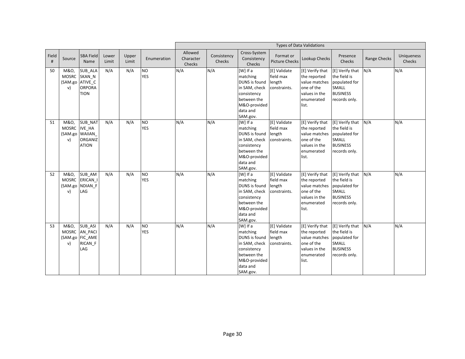|            |                                              |                                                                      |                |                |                         | <b>Types of Data Validations</b> |                       |                                                                                                                                     |                                                     |                                                                                                                        |                                                                                                      |              |                             |  |
|------------|----------------------------------------------|----------------------------------------------------------------------|----------------|----------------|-------------------------|----------------------------------|-----------------------|-------------------------------------------------------------------------------------------------------------------------------------|-----------------------------------------------------|------------------------------------------------------------------------------------------------------------------------|------------------------------------------------------------------------------------------------------|--------------|-----------------------------|--|
| Field<br># | Source                                       | <b>SBA Field</b><br>Name                                             | Lower<br>Limit | Upper<br>Limit | Enumeration             | Allowed<br>Character<br>Checks   | Consistency<br>Checks | Cross-System<br>Consistency<br>Checks                                                                                               | Format or<br><b>Picture Checks</b>                  | Lookup Checks                                                                                                          | Presence<br>Checks                                                                                   | Range Checks | <b>Uniqueness</b><br>Checks |  |
| 50         | M&O,<br><b>MOSRC</b><br>v)                   | SUB_ALA<br>SKAN N<br>(SAM.go ATIVE_C<br><b>ORPORA</b><br><b>TION</b> | N/A            | N/A            | <b>NO</b><br><b>YES</b> | N/A                              | N/A                   | [W] If a<br>matching<br>DUNS is found length<br>in SAM, check<br>consistency<br>between the<br>M&O-provided<br>data and<br>SAM.gov. | [E] Validate<br>field max<br>constraints.           | [E] Verify that<br>the reported<br>value matches<br>one of the<br>values in the<br>enumerated<br>list.                 | [E] Verify that<br>the field is<br>populated for<br><b>SMALL</b><br><b>BUSINESS</b><br>records only. | N/A          | N/A                         |  |
| 51         | M&O,<br><b>MOSRC</b><br>(SAM.go WAIIAN<br>v) | <b>SUB NAT</b><br>IVE_HA<br><b>ORGANIZ</b><br><b>ATION</b>           | N/A            | N/A            | <b>NO</b><br><b>YES</b> | N/A                              | N/A                   | [W] If a<br>matching<br>DUNS is found<br>in SAM, check<br>consistency<br>between the<br>M&O-provided<br>data and<br>SAM.gov.        | [E] Validate<br>field max<br>length<br>constraints. | [E] Verify that [E] Verify that<br>the reported<br>value matches<br>one of the<br>values in the<br>enumerated<br>list. | the field is<br>populated for<br><b>SMALL</b><br><b>BUSINESS</b><br>records only.                    | N/A          | N/A                         |  |
| 52         | M&O,<br><b>MOSRC</b><br>v)                   | SUB AM<br>ERICAN I<br>(SAM.go NDIAN_F<br>LAG                         | N/A            | N/A            | <b>NO</b><br><b>YES</b> | N/A                              | N/A                   | [W] If a<br>matching<br>DUNS is found<br>in SAM, check<br>consistency<br>between the<br>M&O-provided<br>data and<br>SAM.gov.        | [E] Validate<br>field max<br>length<br>constraints. | [E] Verify that<br>the reported<br>value matches<br>one of the<br>values in the<br>enumerated<br>list.                 | [E] Verify that<br>the field is<br>populated for<br><b>SMALL</b><br><b>BUSINESS</b><br>records only. | N/A          | N/A                         |  |
| 53         | M&O,<br>v)                                   | <b>SUB ASI</b><br>MOSRC AN_PACI<br>(SAM.go FIC_AME<br>RICAN F<br>LAG | N/A            | N/A            | <b>NO</b><br><b>YES</b> | N/A                              | N/A                   | [W] If a<br>matching<br>DUNS is found<br>in SAM, check<br>consistency<br>between the<br>M&O-provided<br>data and<br>SAM.gov.        | [E] Validate<br>field max<br>length<br>constraints. | [E] Verify that<br>the reported<br>value matches<br>one of the<br>values in the<br>enumerated<br>list.                 | [E] Verify that<br>the field is<br>populated for<br><b>SMALL</b><br><b>BUSINESS</b><br>records only. | N/A          | N/A                         |  |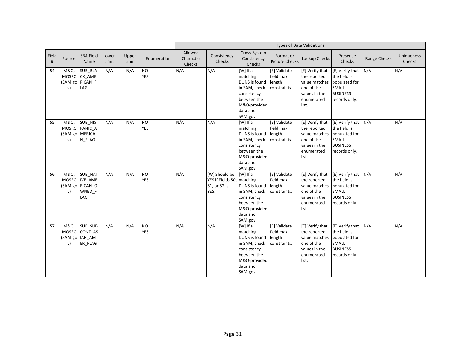|            |                                                        |                                                              |                |                |                         | <b>Types of Data Validations</b> |                                                                     |                                                                                                                              |                                                     |                                                                                                                        |                                                                                                      |              |                             |
|------------|--------------------------------------------------------|--------------------------------------------------------------|----------------|----------------|-------------------------|----------------------------------|---------------------------------------------------------------------|------------------------------------------------------------------------------------------------------------------------------|-----------------------------------------------------|------------------------------------------------------------------------------------------------------------------------|------------------------------------------------------------------------------------------------------|--------------|-----------------------------|
| Field<br># | Source                                                 | <b>SBA Field</b><br>Name                                     | Lower<br>Limit | Upper<br>Limit | Enumeration             | Allowed<br>Character<br>Checks   | Consistency<br>Checks                                               | Cross-System<br>Consistency<br>Checks                                                                                        | Format or<br><b>Picture Checks</b>                  | Lookup Checks                                                                                                          | Presence<br>Checks                                                                                   | Range Checks | <b>Uniqueness</b><br>Checks |
| 54         | M&O,<br>v)                                             | SUB_BLA<br>MOSRC CK_AME<br>(SAM.go RICAN_F<br>LAG            | N/A            | N/A            | <b>NO</b><br><b>YES</b> | N/A                              | N/A                                                                 | [W] If a<br>matching<br>DUNS is found<br>in SAM, check<br>consistency<br>between the<br>M&O-provided<br>data and<br>SAM.gov. | [E] Validate<br>field max<br>length<br>constraints. | [E] Verify that<br>the reported<br>value matches<br>one of the<br>values in the<br>enumerated<br>list.                 | [E] Verify that<br>the field is<br>populated for<br>SMALL<br><b>BUSINESS</b><br>records only.        | N/A          | N/A                         |
| 55         | M&O,<br><b>MOSRC</b><br>(SAM.go MERICA<br>v)           | SUB_HIS<br>PANIC A<br>N_FLAG                                 | N/A            | N/A            | <b>NO</b><br><b>YES</b> | N/A                              | N/A                                                                 | [W] If a<br>matching<br>DUNS is found<br>in SAM, check<br>consistency<br>between the<br>M&O-provided<br>data and<br>SAM.gov. | [E] Validate<br>field max<br>length<br>constraints. | [E] Verify that<br>the reported<br>value matches<br>one of the<br>values in the<br>enumerated<br>list.                 | [E] Verify that<br>the field is<br>populated for<br><b>SMALL</b><br><b>BUSINESS</b><br>records only. | N/A          | N/A                         |
| 56         | M&O,<br>v)                                             | SUB_NAT<br>MOSRC IVE_AME<br>(SAM.go RICAN_O<br>WNED_F<br>LAG | N/A            | N/A            | <b>NO</b><br><b>YES</b> | N/A                              | [W] Should be<br>YES if Fields 50, matching<br>51, or 52 is<br>YES. | [W] If a<br>DUNS is found length<br>in SAM, check<br>consistency<br>between the<br>M&O-provided<br>data and<br>SAM.gov.      | [E] Validate<br>field max<br>constraints.           | [E] Verify that<br>the reported<br>value matches<br>one of the<br>values in the<br>enumerated<br>list.                 | [E] Verify that<br>the field is<br>populated for<br>SMALL<br><b>BUSINESS</b><br>records only.        | N/A          | N/A                         |
| 57         | M&O,<br><b>MOSRC</b><br>(SAM.go IAN_AM<br>$\mathsf{v}$ | SUB_SUB<br>CONT AS<br>ER_FLAG                                | N/A            | N/A            | <b>NO</b><br><b>YES</b> | N/A                              | N/A                                                                 | [W] If a<br>matching<br>DUNS is found<br>in SAM, check<br>consistency<br>between the<br>M&O-provided<br>data and<br>SAM.gov. | [E] Validate<br>field max<br>length<br>constraints. | [E] Verify that [E] Verify that<br>the reported<br>value matches<br>one of the<br>values in the<br>enumerated<br>list. | the field is<br>populated for<br><b>SMALL</b><br><b>BUSINESS</b><br>records only.                    | N/A          | N/A                         |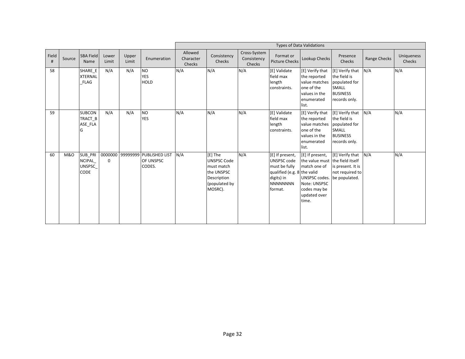|            |                |                                                   |                |                |                                                        |                                | <b>Types of Data Validations</b>                                                                     |                                       |                                                                                                                                   |                                                                                                                                                            |                                                                                                      |              |                             |  |
|------------|----------------|---------------------------------------------------|----------------|----------------|--------------------------------------------------------|--------------------------------|------------------------------------------------------------------------------------------------------|---------------------------------------|-----------------------------------------------------------------------------------------------------------------------------------|------------------------------------------------------------------------------------------------------------------------------------------------------------|------------------------------------------------------------------------------------------------------|--------------|-----------------------------|--|
| Field<br># | Source         | <b>SBA Field</b><br>Name                          | Lower<br>Limit | Upper<br>Limit | Enumeration                                            | Allowed<br>Character<br>Checks | Consistency<br>Checks                                                                                | Cross-System<br>Consistency<br>Checks | Format or<br><b>Picture Checks</b>                                                                                                | Lookup Checks                                                                                                                                              | Presence<br>Checks                                                                                   | Range Checks | <b>Uniqueness</b><br>Checks |  |
| 58         |                | SHARE E<br><b>XTERNAL</b><br><b>FLAG</b>          | N/A            | N/A            | <b>NO</b><br><b>YES</b><br><b>HOLD</b>                 | N/A                            | N/A                                                                                                  | N/A                                   | [E] Validate<br>field max<br>length<br>constraints.                                                                               | [E] Verify that<br>the reported<br>value matches<br>one of the<br>values in the<br>enumerated<br>list.                                                     | [E] Verify that<br>the field is<br>populated for<br><b>SMALL</b><br><b>BUSINESS</b><br>records only. | N/A          | N/A                         |  |
| 59         |                | <b>SUBCON</b><br>TRACT B<br>ASE_FLA               | N/A            | N/A            | <b>NO</b><br><b>YES</b>                                | N/A                            | N/A                                                                                                  | N/A                                   | [E] Validate<br>field max<br>length<br>constraints.                                                                               | [E] Verify that<br>the reported<br>value matches<br>one of the<br>values in the<br>enumerated<br>list.                                                     | [E] Verify that<br>the field is<br>populated for<br><b>SMALL</b><br><b>BUSINESS</b><br>records only. | N/A          | N/A                         |  |
| 60         | <b>M&amp;O</b> | SUB_PRI<br><b>NCIPAL</b><br><b>UNSPSC</b><br>CODE | $\Omega$       |                | 0000000 99999999 PUBLISHED LIST<br>OF UNSPSC<br>CODES. | N/A                            | [E] The<br><b>UNSPSC Code</b><br>must match<br>the UNSPSC<br>Description<br>(populated by<br>MOSRC). | N/A                                   | [E] If present,<br><b>UNSPSC code</b><br>must be fully<br>qualified (e.g. 8 the valid<br>digits) in<br><b>NNNNNNNN</b><br>format. | [E] If present,<br>the value must the field itself<br>match one of<br>UNSPSC codes. be populated.<br>Note: UNSPSC<br>codes may be<br>updated over<br>time. | [E] Verify that<br>is present. It is<br>not required to                                              | N/A          | N/A                         |  |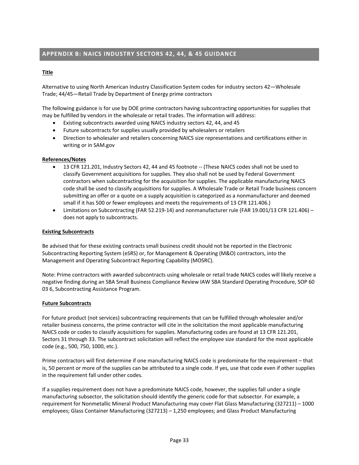# <span id="page-32-0"></span>**APPENDIX B: NAICS INDUSTRY SECTORS 42, 44, & 45 GUIDANCE**

## **Title**

Alternative to using North American Industry Classification System codes for industry sectors 42—Wholesale Trade; 44/45—Retail Trade by Department of Energy prime contractors

The following guidance is for use by DOE prime contractors having subcontracting opportunities for supplies that may be fulfilled by vendors in the wholesale or retail trades. The information will address:

- Existing subcontracts awarded using NAICS industry sectors 42, 44, and 45
- Future subcontracts for supplies usually provided by wholesalers or retailers
- Direction to wholesaler and retailers concerning NAICS size representations and certifications either in writing or in SAM.gov

## **References/Notes**

- 13 CFR 121.201, Industry Sectors 42, 44 and 45 footnote -- (These NAICS codes shall not be used to classify Government acquisitions for supplies. They also shall not be used by Federal Government contractors when subcontracting for the acquisition for supplies. The applicable manufacturing NAICS code shall be used to classify acquisitions for supplies. A Wholesale Trade or Retail Trade business concern submitting an offer or a quote on a supply acquisition is categorized as a nonmanufacturer and deemed small if it has 500 or fewer employees and meets the requirements of 13 CFR 121.406.)
- Limitations on Subcontracting (FAR 52.219-14) and nonmanufacturer rule (FAR 19.001/13 CFR 121.406) does not apply to subcontracts.

## **Existing Subcontracts**

Be advised that for these existing contracts small business credit should not be reported in the Electronic Subcontracting Reporting System (eSRS) or, for Management & Operating (M&O) contractors, into the Management and Operating Subcontract Reporting Capability (MOSRC).

Note: Prime contractors with awarded subcontracts using wholesale or retail trade NAICS codes will likely receive a negative finding during an SBA Small Business Compliance Review IAW SBA Standard Operating Procedure, SOP 60 03 6, Subcontracting Assistance Program.

## **Future Subcontracts**

For future product (not services) subcontracting requirements that can be fulfilled through wholesaler and/or retailer business concerns, the prime contractor will cite in the solicitation the most applicable manufacturing NAICS code or codes to classify acquisitions for supplies. Manufacturing codes are found at 13 CFR 121.201, Sectors 31 through 33. The subcontract solicitation will reflect the employee size standard for the most applicable code (e.g., 500, 750, 1000, etc.).

Prime contractors will first determine if one manufacturing NAICS code is predominate for the requirement – that is, 50 percent or more of the supplies can be attributed to a single code. If yes, use that code even if other supplies in the requirement fall under other codes.

If a supplies requirement does not have a predominate NAICS code, however, the supplies fall under a single manufacturing subsector, the solicitation should identify the generic code for that subsector. For example, a requirement for Nonmetallic Mineral Product Manufacturing may cover Flat Glass Manufacturing (327211) – 1000 employees; Glass Container Manufacturing (327213) – 1,250 employees; and Glass Product Manufacturing